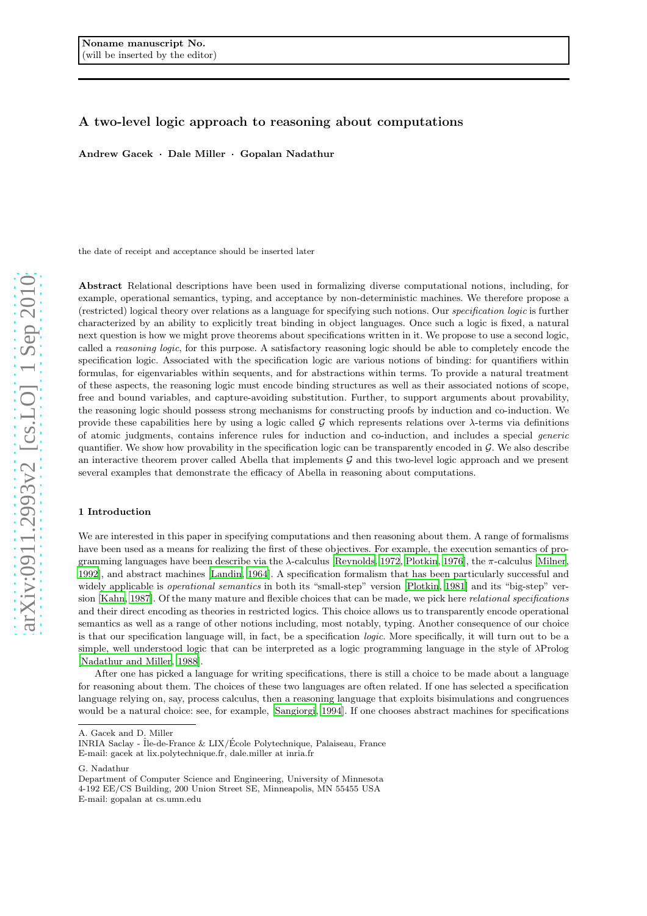# A two-level logic approach to reasoning about computations

Andrew Gacek · Dale Miller · Gopalan Nadathur

the date of receipt and acceptance should be inserted later

Abstract Relational descriptions have been used in formalizing diverse computational notions, including, for example, operational semantics, typing, and acceptance by non-deterministic machines. We therefore propose a (restricted) logical theory over relations as a language for specifying such notions. Our *specification logic* is further characterized by an ability to explicitly treat binding in object languages. Once such a logic is fixed, a natural next question is how we might prove theorems about specifications written in it. We propose to use a second logic, called a *reasoning logic*, for this purpose. A satisfactory reasoning logic should be able to completely encode the specification logic. Associated with the specification logic are various notions of binding: for quantifiers within formulas, for eigenvariables within sequents, and for abstractions within terms. To provide a natural treatment of these aspects, the reasoning logic must encode binding structures as well as their associated notions of scope, free and bound variables, and capture-avoiding substitution. Further, to support arguments about provability, the reasoning logic should possess strong mechanisms for constructing proofs by induction and co-induction. We provide these capabilities here by using a logic called G which represents relations over  $\lambda$ -terms via definitions of atomic judgments, contains inference rules for induction and co-induction, and includes a special *generic* quantifier. We show how provability in the specification logic can be transparently encoded in G. We also describe an interactive theorem prover called Abella that implements  $\mathcal G$  and this two-level logic approach and we present several examples that demonstrate the efficacy of Abella in reasoning about computations.

# 1 Introduction

We are interested in this paper in specifying computations and then reasoning about them. A range of formalisms have been used as a means for realizing the first of these objectives. For example, the execution semantics of programming languages have been describe via the λ-calculus [\[Reynolds, 1972](#page-22-0), [Plotkin, 1976](#page-22-1)], the π-calculus [\[Milner,](#page-21-0) [1992](#page-21-0)], and abstract machines [\[Landin](#page-21-1), [1964](#page-21-1)]. A specification formalism that has been particularly successful and widely applicable is *operational semantics* in both its "small-step" version [\[Plotkin, 1981\]](#page-22-2) and its "big-step" version [\[Kahn, 1987](#page-21-2)]. Of the many mature and flexible choices that can be made, we pick here *relational specifications* and their direct encoding as theories in restricted logics. This choice allows us to transparently encode operational semantics as well as a range of other notions including, most notably, typing. Another consequence of our choice is that our specification language will, in fact, be a specification *logic*. More specifically, it will turn out to be a simple, well understood logic that can be interpreted as a logic programming language in the style of λProlog [\[Nadathur and Miller, 1988\]](#page-21-3).

After one has picked a language for writing specifications, there is still a choice to be made about a language for reasoning about them. The choices of these two languages are often related. If one has selected a specification language relying on, say, process calculus, then a reasoning language that exploits bisimulations and congruences would be a natural choice: see, for example, [\[Sangiorgi](#page-22-3), [1994](#page-22-3)]. If one chooses abstract machines for specifications

A. Gacek and D. Miller

INRIA Saclay - ˆIle-de-France & LIX/Ecole Polytechnique, Palaiseau, France ´ E-mail: gacek at lix.polytechnique.fr, dale.miller at inria.fr

G. Nadathur

Department of Computer Science and Engineering, University of Minnesota 4-192 EE/CS Building, 200 Union Street SE, Minneapolis, MN 55455 USA E-mail: gopalan at cs.umn.edu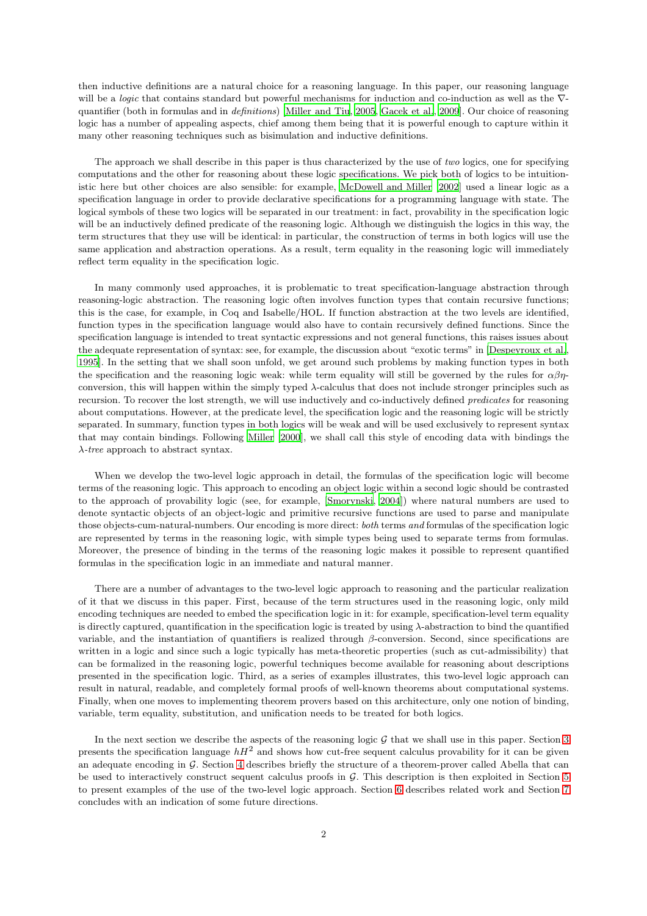then inductive definitions are a natural choice for a reasoning language. In this paper, our reasoning language will be a *logic* that contains standard but powerful mechanisms for induction and co-induction as well as the ∇ quantifier (both in formulas and in *definitions*) [\[Miller and Tiu, 2005](#page-21-4), [Gacek et al., 2009](#page-21-5)]. Our choice of reasoning logic has a number of appealing aspects, chief among them being that it is powerful enough to capture within it many other reasoning techniques such as bisimulation and inductive definitions.

The approach we shall describe in this paper is thus characterized by the use of *two* logics, one for specifying computations and the other for reasoning about these logic specifications. We pick both of logics to be intuitionistic here but other choices are also sensible: for example, [McDowell and Miller \[2002](#page-21-6)] used a linear logic as a specification language in order to provide declarative specifications for a programming language with state. The logical symbols of these two logics will be separated in our treatment: in fact, provability in the specification logic will be an inductively defined predicate of the reasoning logic. Although we distinguish the logics in this way, the term structures that they use will be identical: in particular, the construction of terms in both logics will use the same application and abstraction operations. As a result, term equality in the reasoning logic will immediately reflect term equality in the specification logic.

In many commonly used approaches, it is problematic to treat specification-language abstraction through reasoning-logic abstraction. The reasoning logic often involves function types that contain recursive functions; this is the case, for example, in Coq and Isabelle/HOL. If function abstraction at the two levels are identified, function types in the specification language would also have to contain recursively defined functions. Since the specification language is intended to treat syntactic expressions and not general functions, this raises issues about the adequate representation of syntax: see, for example, the discussion about "exotic terms" in [\[Despeyroux et al.,](#page-21-7) [1995](#page-21-7)]. In the setting that we shall soon unfold, we get around such problems by making function types in both the specification and the reasoning logic weak: while term equality will still be governed by the rules for  $\alpha\beta\eta$ conversion, this will happen within the simply typed λ-calculus that does not include stronger principles such as recursion. To recover the lost strength, we will use inductively and co-inductively defined *predicates* for reasoning about computations. However, at the predicate level, the specification logic and the reasoning logic will be strictly separated. In summary, function types in both logics will be weak and will be used exclusively to represent syntax that may contain bindings. Following [Miller \[2000](#page-21-8)], we shall call this style of encoding data with bindings the λ*-tree* approach to abstract syntax.

When we develop the two-level logic approach in detail, the formulas of the specification logic will become terms of the reasoning logic. This approach to encoding an object logic within a second logic should be contrasted to the approach of provability logic (see, for example, [\[Smorynski](#page-22-4), [2004](#page-22-4)]) where natural numbers are used to denote syntactic objects of an object-logic and primitive recursive functions are used to parse and manipulate those objects-cum-natural-numbers. Our encoding is more direct: *both* terms *and* formulas of the specification logic are represented by terms in the reasoning logic, with simple types being used to separate terms from formulas. Moreover, the presence of binding in the terms of the reasoning logic makes it possible to represent quantified formulas in the specification logic in an immediate and natural manner.

There are a number of advantages to the two-level logic approach to reasoning and the particular realization of it that we discuss in this paper. First, because of the term structures used in the reasoning logic, only mild encoding techniques are needed to embed the specification logic in it: for example, specification-level term equality is directly captured, quantification in the specification logic is treated by using  $\lambda$ -abstraction to bind the quantified variable, and the instantiation of quantifiers is realized through  $\beta$ -conversion. Second, since specifications are written in a logic and since such a logic typically has meta-theoretic properties (such as cut-admissibility) that can be formalized in the reasoning logic, powerful techniques become available for reasoning about descriptions presented in the specification logic. Third, as a series of examples illustrates, this two-level logic approach can result in natural, readable, and completely formal proofs of well-known theorems about computational systems. Finally, when one moves to implementing theorem provers based on this architecture, only one notion of binding, variable, term equality, substitution, and unification needs to be treated for both logics.

In the next section we describe the aspects of the reasoning logic  $\mathcal G$  that we shall use in this paper. Section [3](#page-5-0) presents the specification language  $hH^2$  and shows how cut-free sequent calculus provability for it can be given an adequate encoding in G. Section [4](#page-10-0) describes briefly the structure of a theorem-prover called Abella that can be used to interactively construct sequent calculus proofs in G. This description is then exploited in Section [5](#page-11-0) to present examples of the use of the two-level logic approach. Section [6](#page-18-0) describes related work and Section [7](#page-19-0) concludes with an indication of some future directions.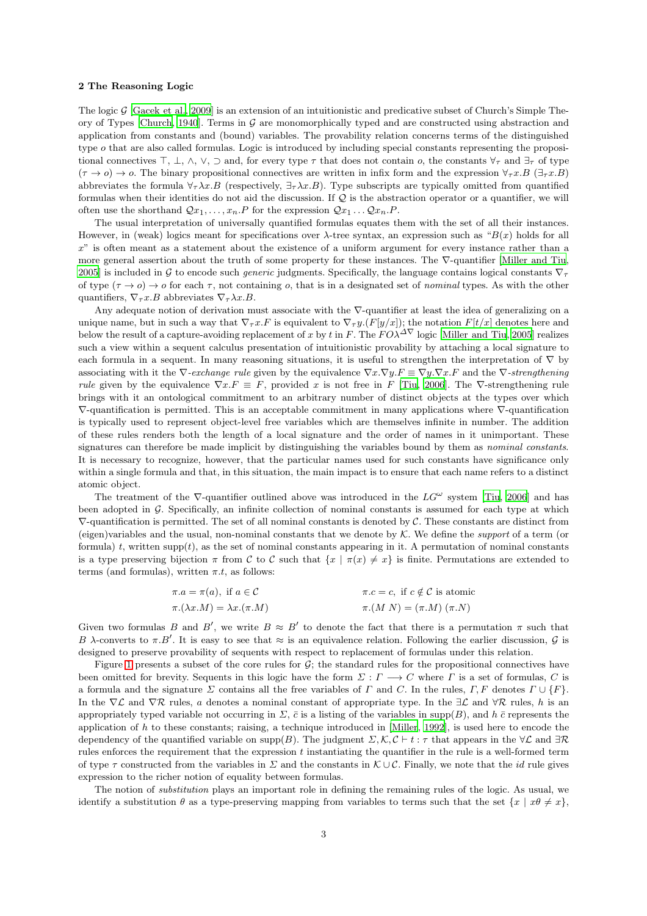## <span id="page-2-0"></span>2 The Reasoning Logic

The logic  $\mathcal G$  [\[Gacek et al., 2009](#page-21-5)] is an extension of an intuitionistic and predicative subset of Church's Simple The-ory of Types [\[Church](#page-21-9), [1940](#page-21-9)]. Terms in  $G$  are monomorphically typed and are constructed using abstraction and application from constants and (bound) variables. The provability relation concerns terms of the distinguished type  $o$  that are also called formulas. Logic is introduced by including special constants representing the propositional connectives  $\top$ ,  $\bot$ ,  $\land$ ,  $\lor$ ,  $\supset$  and, for every type  $\tau$  that does not contain  $o$ , the constants  $\forall_{\tau}$  and  $\exists_{\tau}$  of type  $(\tau \to o) \to o$ . The binary propositional connectives are written in infix form and the expression  $\forall_{\tau} x.B \ (\exists_{\tau} x.B)$ abbreviates the formula  $\forall_{\tau}\lambda x.B$  (respectively,  $\exists_{\tau}\lambda x.B$ ). Type subscripts are typically omitted from quantified formulas when their identities do not aid the discussion. If  $\mathcal Q$  is the abstraction operator or a quantifier, we will often use the shorthand  $\mathcal{Q}_{x_1}, \ldots, x_n$ . P for the expression  $\mathcal{Q}_{x_1} \ldots \mathcal{Q}_{x_n}$ . P.

The usual interpretation of universally quantified formulas equates them with the set of all their instances. However, in (weak) logics meant for specifications over  $\lambda$ -tree syntax, an expression such as " $B(x)$  holds for all x" is often meant as a statement about the existence of a uniform argument for every instance rather than a more general assertion about the truth of some property for these instances. The ∇-quantifier [\[Miller and Tiu,](#page-21-4) [2005](#page-21-4)] is included in G to encode such *generic* judgments. Specifically, the language contains logical constants  $\nabla_{\tau}$ of type  $(\tau \to o) \to o$  for each  $\tau$ , not containing o, that is in a designated set of *nominal* types. As with the other quantifiers,  $\nabla_{\tau} x.B$  abbreviates  $\nabla_{\tau} \lambda x.B$ .

Any adequate notion of derivation must associate with the ∇-quantifier at least the idea of generalizing on a unique name, but in such a way that  $\nabla_{\tau} x.F$  is equivalent to  $\nabla_{\tau} y.(F[y/x])$ ; the notation  $F[t/x]$  denotes here and below the result of a capture-avoiding replacement of x by t in F. The  $F O\lambda^{\Delta \nabla}$  logic [\[Miller and Tiu](#page-21-4), [2005](#page-21-4)] realizes such a view within a sequent calculus presentation of intuitionistic provability by attaching a local signature to each formula in a sequent. In many reasoning situations, it is useful to strengthen the interpretation of  $\nabla$  by associating with it the  $\nabla$ *-exchange rule* given by the equivalence  $\nabla x.\nabla y.F \equiv \nabla y.\nabla x.F$  and the  $\nabla$ *-strengthening rule* given by the equivalence  $\nabla x.F \equiv F$ , provided x is not free in F [\[Tiu, 2006\]](#page-22-5). The  $\nabla$ -strengthening rule brings with it an ontological commitment to an arbitrary number of distinct objects at the types over which ∇-quantification is permitted. This is an acceptable commitment in many applications where ∇-quantification is typically used to represent object-level free variables which are themselves infinite in number. The addition of these rules renders both the length of a local signature and the order of names in it unimportant. These signatures can therefore be made implicit by distinguishing the variables bound by them as *nominal constants*. It is necessary to recognize, however, that the particular names used for such constants have significance only within a single formula and that, in this situation, the main impact is to ensure that each name refers to a distinct atomic object.

The treatment of the  $\nabla$ -quantifier outlined above was introduced in the  $LG^{\omega}$  system [\[Tiu, 2006\]](#page-22-5) and has been adopted in G. Specifically, an infinite collection of nominal constants is assumed for each type at which  $\nabla$ -quantification is permitted. The set of all nominal constants is denoted by  $\mathcal C$ . These constants are distinct from (eigen)variables and the usual, non-nominal constants that we denote by K. We define the *support* of a term (or formula) t, written supp $(t)$ , as the set of nominal constants appearing in it. A permutation of nominal constants is a type preserving bijection  $\pi$  from C to C such that  $\{x \mid \pi(x) \neq x\}$  is finite. Permutations are extended to terms (and formulas), written  $\pi.t$ , as follows:

| $\pi.a = \pi(a), \text{ if } a \in \mathcal{C}$ | $\pi.c = c$ , if $c \notin \mathcal{C}$ is atomic |
|-------------------------------------------------|---------------------------------------------------|
| $\pi.(\lambda x.M) = \lambda x.(\pi.M)$         | $\pi.(M\ N)=(\pi.M)(\pi.N)$                       |

Given two formulas B and B', we write  $B \approx B'$  to denote the fact that there is a permutation  $\pi$  such that B  $\lambda$ -converts to  $\pi.B'$ . It is easy to see that  $\approx$  is an equivalence relation. Following the earlier discussion,  $\mathcal G$  is designed to preserve provability of sequents with respect to replacement of formulas under this relation.

Figure [1](#page-3-0) presents a subset of the core rules for  $\mathcal{G}$ ; the standard rules for the propositional connectives have been omitted for brevity. Sequents in this logic have the form  $\Sigma : \Gamma \longrightarrow C$  where  $\Gamma$  is a set of formulas, C is a formula and the signature  $\Sigma$  contains all the free variables of  $\Gamma$  and  $C$ . In the rules,  $\Gamma$ ,  $F$  denotes  $\Gamma \cup \{F\}$ . In the  $\nabla \mathcal{L}$  and  $\nabla \mathcal{R}$  rules, a denotes a nominal constant of appropriate type. In the  $\exists \mathcal{L}$  and  $\forall \mathcal{R}$  rules, h is an appropriately typed variable not occurring in  $\Sigma$ ,  $\bar{c}$  is a listing of the variables in supp $(B)$ , and  $h\bar{c}$  represents the application of  $h$  to these constants; raising, a technique introduced in [\[Miller](#page-21-10), [1992](#page-21-10)], is used here to encode the dependency of the quantified variable on supp(B). The judgment  $\Sigma, \mathcal{K}, \mathcal{C} \vdash t : \tau$  that appears in the  $\forall \mathcal{L}$  and  $\exists \mathcal{R}$ rules enforces the requirement that the expression  $t$  instantiating the quantifier in the rule is a well-formed term of type  $\tau$  constructed from the variables in  $\Sigma$  and the constants in  $\mathcal{K} \cup \mathcal{C}$ . Finally, we note that the *id* rule gives expression to the richer notion of equality between formulas.

The notion of *substitution* plays an important role in defining the remaining rules of the logic. As usual, we identify a substitution  $\theta$  as a type-preserving mapping from variables to terms such that the set  $\{x \mid x\theta \neq x\}$ ,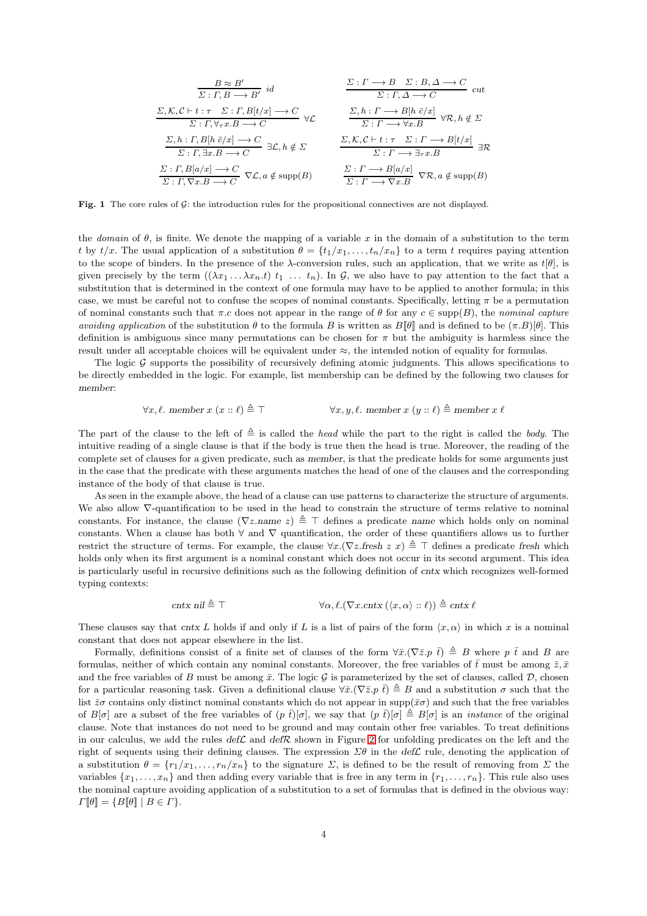$$
\frac{B \approx B'}{\Sigma : \Gamma, B \longrightarrow B'} \quad id \qquad \frac{\Sigma : \Gamma \longrightarrow B \quad \Sigma : B, \Delta \longrightarrow C}{\Sigma : \Gamma, \Delta \longrightarrow C} \quad cut
$$
  

$$
\frac{\Sigma, \mathcal{K}, \mathcal{C} \vdash t : \tau \quad \Sigma : \Gamma, B[t/x] \longrightarrow C}{\Sigma : \Gamma, \forall \tau x. B \longrightarrow C} \quad \forall \mathcal{L} \qquad \frac{\Sigma, h : \Gamma \longrightarrow B[h \quad \bar{c}/x]}{\Sigma : \Gamma \longrightarrow \forall x. B} \quad \forall \mathcal{R}, h \notin \Sigma
$$
  

$$
\frac{\Sigma, h : \Gamma, B[h \quad \bar{c}/x] \longrightarrow C}{\Sigma : \Gamma, \exists x. B \longrightarrow C} \exists \mathcal{L}, h \notin \Sigma \qquad \frac{\Sigma, \mathcal{K}, \mathcal{C} \vdash t : \tau \quad \Sigma : \Gamma \longrightarrow B[t/x]}{\Sigma : \Gamma \longrightarrow \exists \tau x. B} \quad \exists \mathcal{R}
$$
  

$$
\frac{\Sigma : \Gamma, B[a/x] \longrightarrow C}{\Sigma : \Gamma, \nabla x. B \longrightarrow C} \quad \nabla \mathcal{L}, a \notin \text{supp}(B) \qquad \frac{\Sigma : \Gamma \longrightarrow B[a/x]}{\Sigma : \Gamma \longrightarrow \nabla x. B} \quad \nabla \mathcal{R}, a \notin \text{supp}(B)
$$

<span id="page-3-0"></span>Fig. 1 The core rules of  $G$ : the introduction rules for the propositional connectives are not displayed.

the *domain* of  $\theta$ , is finite. We denote the mapping of a variable x in the domain of a substitution to the term t by  $t/x$ . The usual application of a substitution  $\theta = \{t_1/x_1, \ldots, t_n/x_n\}$  to a term t requires paying attention to the scope of binders. In the presence of the  $\lambda$ -conversion rules, such an application, that we write as  $t[\theta]$ , is given precisely by the term  $((\lambda x_1 \ldots \lambda x_n,t) t_1 \ldots t_n)$ . In G, we also have to pay attention to the fact that a substitution that is determined in the context of one formula may have to be applied to another formula; in this case, we must be careful not to confuse the scopes of nominal constants. Specifically, letting  $\pi$  be a permutation of nominal constants such that  $\pi.c$  does not appear in the range of  $\theta$  for any  $c \in \text{supp}(B)$ , the *nominal capture avoiding application* of the substitution  $\theta$  to the formula B is written as  $B[\theta]$  and is defined to be  $(\pi.B)[\theta]$ . This definition is ambiguous since many permutations can be chosen for  $\pi$  but the ambiguity is harmless since the result under all acceptable choices will be equivalent under ≈, the intended notion of equality for formulas.

The logic  $G$  supports the possibility of recursively defining atomic judgments. This allows specifications to be directly embedded in the logic. For example, list membership can be defined by the following two clauses for member:

$$
\forall x, \ell. \text{ member } x \ (x :: \ell) \triangleq \top
$$
\n
$$
\forall x, y, \ell. \text{ member } x \ (y :: \ell) \triangleq \text{member } x \ \ell
$$

The part of the clause to the left of  $\triangleq$  is called the *head* while the part to the right is called the *body*. The intuitive reading of a single clause is that if the body is true then the head is true. Moreover, the reading of the complete set of clauses for a given predicate, such as member, is that the predicate holds for some arguments just in the case that the predicate with these arguments matches the head of one of the clauses and the corresponding instance of the body of that clause is true.

As seen in the example above, the head of a clause can use patterns to characterize the structure of arguments. We also allow ∇-quantification to be used in the head to constrain the structure of terms relative to nominal constants. For instance, the clause  $(\nabla z \cdot \text{name } z) \triangleq \top$  defines a predicate name which holds only on nominal constants. When a clause has both  $\forall$  and  $\nabla$  quantification, the order of these quantifiers allows us to further restrict the structure of terms. For example, the clause  $\forall x.(\nabla z$ .fresh  $z \ x) \triangleq \top$  defines a predicate fresh which holds only when its first argument is a nominal constant which does not occur in its second argument. This idea is particularly useful in recursive definitions such as the following definition of cntx which recognizes well-formed typing contexts:

$$
\text{cntx nil} \triangleq \top \qquad \qquad \forall \alpha, \ell. (\nabla x. \text{cntx } (\langle x, \alpha \rangle :: \ell)) \triangleq \text{cntx } \ell
$$

These clauses say that cntx L holds if and only if L is a list of pairs of the form  $\langle x, \alpha \rangle$  in which x is a nominal constant that does not appear elsewhere in the list.

Formally, definitions consist of a finite set of clauses of the form  $\forall \bar{x}.(\nabla \bar{z}, p \bar{t}) \triangleq B$  where p  $\bar{t}$  and B are formulas, neither of which contain any nominal constants. Moreover, the free variables of  $\bar{t}$  must be among  $\bar{z}, \bar{x}$ and the free variables of B must be among  $\bar{x}$ . The logic  $\mathcal G$  is parameterized by the set of clauses, called  $\mathcal D$ , chosen for a particular reasoning task. Given a definitional clause  $\forall \bar{x}.(\nabla \bar{z} \cdot p \bar{t}) \triangleq B$  and a substitution  $\sigma$  such that the list  $\bar{z}\sigma$  contains only distinct nominal constants which do not appear in supp( $\bar{x}\sigma$ ) and such that the free variables of  $B[\sigma]$  are a subset of the free variables of  $(p \bar{t})[\sigma]$ , we say that  $(p \bar{t})[\sigma] \triangleq B[\sigma]$  is an *instance* of the original clause. Note that instances do not need to be ground and may contain other free variables. To treat definitions in our calculus, we add the rules  $\det \mathcal{L}$  and  $\det \mathcal{R}$  shown in Figure [2](#page-4-0) for unfolding predicates on the left and the right of sequents using their defining clauses. The expression  $\Sigma\theta$  in the def $\mathcal L$  rule, denoting the application of a substitution  $\theta = \{r_1/x_1, \ldots, r_n/x_n\}$  to the signature  $\Sigma$ , is defined to be the result of removing from  $\Sigma$  the variables  $\{x_1, \ldots, x_n\}$  and then adding every variable that is free in any term in  $\{r_1, \ldots, r_n\}$ . This rule also uses the nominal capture avoiding application of a substitution to a set of formulas that is defined in the obvious way:  $\Gamma[\![\theta]\!] = \{B[\![\theta]\!] \mid B \in \Gamma\}.$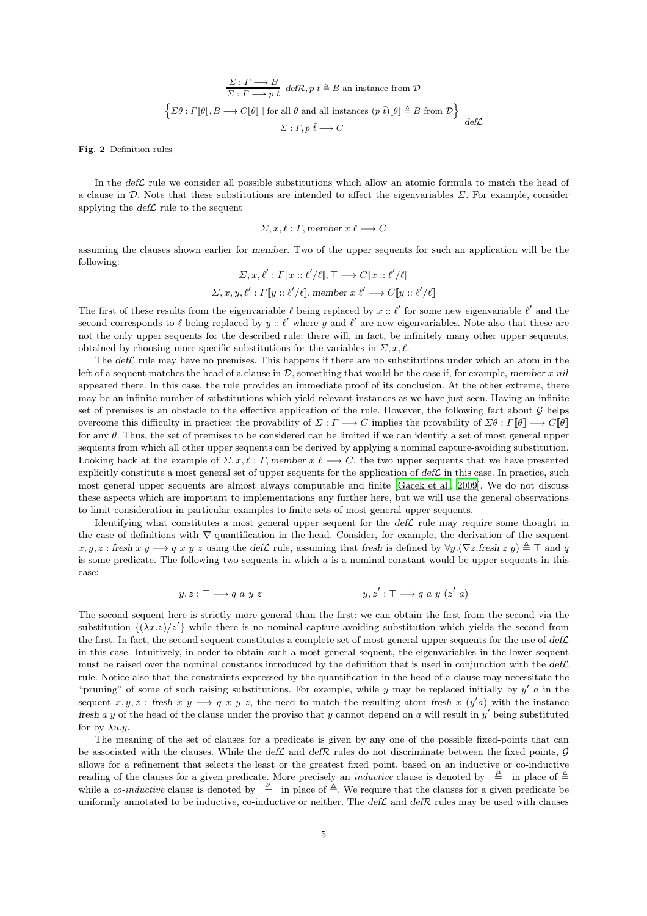$$
\frac{\Sigma:\Gamma\longrightarrow B}{\Sigma:\Gamma\longrightarrow p\ \overline{t}}\ \text{def}\mathcal{R},p\ \overline{t}\triangleq B\ \text{an instance from}\ \mathcal{D}
$$
\n
$$
\left\{\Sigma\theta:\Gamma[\![\theta]\!],B\longrightarrow C[\![\theta]\!]\mid\text{for all}\ \theta\ \text{and all instances}\ (p\ \overline{t})[\![\theta]\!]\triangleq B\ \text{from}\ \mathcal{D}\right\}
$$
\n
$$
\Sigma:\Gamma,p\ \overline{t}\longrightarrow C
$$
\n
$$
\text{def}\mathcal{L}
$$

<span id="page-4-0"></span>Fig. 2 Definition rules

In the  $def\mathcal{L}$  rule we consider all possible substitutions which allow an atomic formula to match the head of a clause in D. Note that these substitutions are intended to affect the eigenvariables  $\Sigma$ . For example, consider applying the  $\text{def}\mathcal{L}$  rule to the sequent

$$
\Sigma, x, \ell : \Gamma, \text{member } x \ell \longrightarrow C
$$

assuming the clauses shown earlier for member. Two of the upper sequents for such an application will be the following:

$$
\Sigma, x, \ell': \Gamma[\![x :: \ell'/\ell]\!], \top \longrightarrow C[\![x :: \ell'/\ell]\!]
$$

$$
\Sigma, x, y, \ell': \Gamma[\![y :: \ell'/\ell]\!], \text{member } x \ell' \longrightarrow C[\![y :: \ell'/\ell]\!]
$$

The first of these results from the eigenvariable  $\ell$  being replaced by  $x :: \ell'$  for some new eigenvariable  $\ell'$  and the second corresponds to  $\ell$  being replaced by  $y$  ::  $\ell'$  where y and  $\ell'$  are new eigenvariables. Note also that these are not the only upper sequents for the described rule: there will, in fact, be infinitely many other upper sequents, obtained by choosing more specific substitutions for the variables in  $\Sigma, x, \ell$ .

The  $\det$  rule may have no premises. This happens if there are no substitutions under which an atom in the left of a sequent matches the head of a clause in  $D$ , something that would be the case if, for example, member x nil appeared there. In this case, the rule provides an immediate proof of its conclusion. At the other extreme, there may be an infinite number of substitutions which yield relevant instances as we have just seen. Having an infinite set of premises is an obstacle to the effective application of the rule. However, the following fact about  $G$  helps overcome this difficulty in practice: the provability of  $\Sigma : \Gamma \longrightarrow C$  implies the provability of  $\Sigma \theta : \Gamma[\theta] \longrightarrow C[\theta]$ for any  $\theta$ . Thus, the set of premises to be considered can be limited if we can identify a set of most general upper sequents from which all other upper sequents can be derived by applying a nominal capture-avoiding substitution. Looking back at the example of  $\Sigma, x, \ell : \Gamma$ , member  $x \ell \longrightarrow C$ , the two upper sequents that we have presented explicitly constitute a most general set of upper sequents for the application of  $def\mathcal{L}$  in this case. In practice, such most general upper sequents are almost always computable and finite [\[Gacek et al.](#page-21-5), [2009](#page-21-5)]. We do not discuss these aspects which are important to implementations any further here, but we will use the general observations to limit consideration in particular examples to finite sets of most general upper sequents.

Identifying what constitutes a most general upper sequent for the  $\det \mathcal{L}$  rule may require some thought in the case of definitions with ∇-quantification in the head. Consider, for example, the derivation of the sequent  $x, y, z : \text{first } x y \longrightarrow q x y z \text{ using the def }\mathcal{L} \text{ rule, assuming that fresh is defined by } \forall y. (\nabla z \cdot \text{first } z y) \triangleq \top \text{ and } q$ is some predicate. The following two sequents in which  $a$  is a nominal constant would be upper sequents in this case:

$$
y, z: \top \longrightarrow q \text{ a } y \text{ z}
$$
\n
$$
y, z': \top \longrightarrow q \text{ a } y \text{ (z' a)}
$$

The second sequent here is strictly more general than the first: we can obtain the first from the second via the substitution  $\{(\lambda x. z)/z'\}$  while there is no nominal capture-avoiding substitution which yields the second from the first. In fact, the second sequent constitutes a complete set of most general upper sequents for the use of  $defL$ in this case. Intuitively, in order to obtain such a most general sequent, the eigenvariables in the lower sequent must be raised over the nominal constants introduced by the definition that is used in conjunction with the  $\text{def}\mathcal{L}$ rule. Notice also that the constraints expressed by the quantification in the head of a clause may necessitate the "pruning" of some of such raising substitutions. For example, while y may be replaced initially by  $y'$  a in the sequent  $x, y, z$ : fresh  $x, y \rightarrow q$   $\overline{x}$   $\overline{y}$   $\overline{z}$ , the need to match the resulting atom fresh  $x$  ( $y'$ a) with the instance fresh a y of the head of the clause under the proviso that y cannot depend on a will result in y' being substituted for by  $\lambda u.u.$ 

The meaning of the set of clauses for a predicate is given by any one of the possible fixed-points that can be associated with the clauses. While the def $\mathcal L$  and defR rules do not discriminate between the fixed points,  $\mathcal G$ allows for a refinement that selects the least or the greatest fixed point, based on an inductive or co-inductive reading of the clauses for a given predicate. More precisely an *inductive* clause is denoted by  $\frac{\mu}{\epsilon}$  in place of  $\frac{\Delta}{\epsilon}$ while a *co-inductive* clause is denoted by  $\frac{\nu}{\epsilon}$  in place of  $\triangleq$ . We require that the clauses for a given predicate be uniformly annotated to be inductive, co-inductive or neither. The  $\text{def}\mathcal{L}$  and  $\text{def}\mathcal{R}$  rules may be used with clauses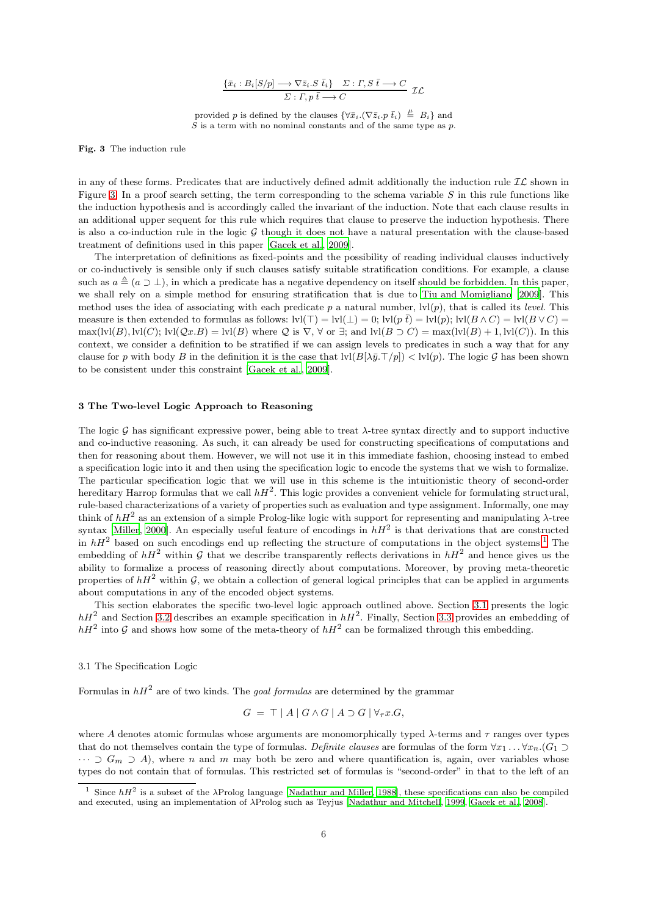$$
\frac{\{\bar{x}_i : B_i[S/p] \longrightarrow \nabla \bar{z}_i.S \ \bar{t}_i\} \quad \Sigma : \Gamma, S \ \bar{t} \longrightarrow C}{\Sigma : \Gamma, p \ \bar{t} \longrightarrow C} \ \mathcal{IL}
$$

provided p is defined by the clauses  $\{\forall \bar{x}_i. (\nabla \bar{z}_i \cdot p \bar{t}_i) \stackrel{\mu}{=} B_i\}$  and  $S$  is a term with no nominal constants and of the same type as p.

<span id="page-5-1"></span>Fig. 3 The induction rule

in any of these forms. Predicates that are inductively defined admit additionally the induction rule  $IL$  shown in Figure [3.](#page-5-1) In a proof search setting, the term corresponding to the schema variable  $S$  in this rule functions like the induction hypothesis and is accordingly called the invariant of the induction. Note that each clause results in an additional upper sequent for this rule which requires that clause to preserve the induction hypothesis. There is also a co-induction rule in the logic  $G$  though it does not have a natural presentation with the clause-based treatment of definitions used in this paper [\[Gacek et al.](#page-21-5), [2009](#page-21-5)].

The interpretation of definitions as fixed-points and the possibility of reading individual clauses inductively or co-inductively is sensible only if such clauses satisfy suitable stratification conditions. For example, a clause such as  $a \triangleq (a \supset \perp)$ , in which a predicate has a negative dependency on itself should be forbidden. In this paper, we shall rely on a simple method for ensuring stratification that is due to [Tiu and Momigliano \[2009\]](#page-22-6). This method uses the idea of associating with each predicate p a natural number, lvl(p), that is called its *level*. This measure is then extended to formulas as follows:  $\text{lvl}(\top) = \text{lvl}(\bot) = 0$ ;  $\text{lvl}(p \bar{t}) = \text{lvl}(p)$ ;  $\text{lvl}(B \wedge C) = \text{lvl}(B \vee C) =$  $\max(\text{lvl}(B), \text{lvl}(C); \text{lvl}(Qx.B) = \text{lvl}(B)$  where Q is  $\nabla, \forall$  or  $\exists$ ; and  $\text{lvl}(B \supset C) = \max(\text{lvl}(B) + 1, \text{lvl}(C))$ . In this context, we consider a definition to be stratified if we can assign levels to predicates in such a way that for any clause for p with body B in the definition it is the case that  $|V(B|\lambda \bar{y} \cdot T/p)| < |V(p)|$ . The logic G has been shown to be consistent under this constraint [\[Gacek et al.](#page-21-5), [2009](#page-21-5)].

## <span id="page-5-0"></span>3 The Two-level Logic Approach to Reasoning

The logic G has significant expressive power, being able to treat  $\lambda$ -tree syntax directly and to support inductive and co-inductive reasoning. As such, it can already be used for constructing specifications of computations and then for reasoning about them. However, we will not use it in this immediate fashion, choosing instead to embed a specification logic into it and then using the specification logic to encode the systems that we wish to formalize. The particular specification logic that we will use in this scheme is the intuitionistic theory of second-order hereditary Harrop formulas that we call  $hH^2$ . This logic provides a convenient vehicle for formulating structural, rule-based characterizations of a variety of properties such as evaluation and type assignment. Informally, one may think of  $hH^2$  as an extension of a simple Prolog-like logic with support for representing and manipulating  $\lambda$ -tree syntax [\[Miller](#page-21-8), [2000\]](#page-21-8). An especially useful feature of encodings in  $hH^2$  is that derivations that are constructed in  $hH^2$  based on such encodings end up reflecting the structure of computations in the object systems.<sup>[1](#page-5-2)</sup> The embedding of  $hH^2$  within G that we describe transparently reflects derivations in  $hH^2$  and hence gives us the ability to formalize a process of reasoning directly about computations. Moreover, by proving meta-theoretic properties of  $hH<sup>2</sup>$  within G, we obtain a collection of general logical principles that can be applied in arguments about computations in any of the encoded object systems.

This section elaborates the specific two-level logic approach outlined above. Section [3.1](#page-5-3) presents the logic  $hH<sup>2</sup>$  and Section [3.2](#page-6-0) describes an example specification in  $hH<sup>2</sup>$ . Finally, Section [3.3](#page-8-0) provides an embedding of  $hH^2$  into G and shows how some of the meta-theory of  $hH^2$  can be formalized through this embedding.

<span id="page-5-3"></span>3.1 The Specification Logic

Formulas in  $hH^2$  are of two kinds. The *goal formulas* are determined by the grammar

$$
G = \top | A | G \wedge G | A \supset G | \forall_{\tau} x. G,
$$

where A denotes atomic formulas whose arguments are monomorphically typed  $\lambda$ -terms and  $\tau$  ranges over types that do not themselves contain the type of formulas. *Definite clauses* are formulas of the form  $\forall x_1 \dots \forall x_n . (G_1 \supset$  $\cdots \supset G_m \supset A$ , where n and m may both be zero and where quantification is, again, over variables whose types do not contain that of formulas. This restricted set of formulas is "second-order" in that to the left of an

<span id="page-5-2"></span><sup>&</sup>lt;sup>1</sup> Since  $hH^2$  is a subset of the  $\lambda$ Prolog language [\[Nadathur and Miller, 1988](#page-21-3)], these specifications can also be compiled and executed, using an implementation of λProlog such as Teyjus [\[Nadathur and Mitchell](#page-22-7), [1999](#page-22-7), [Gacek et](#page-21-11) al., [2008](#page-21-11)].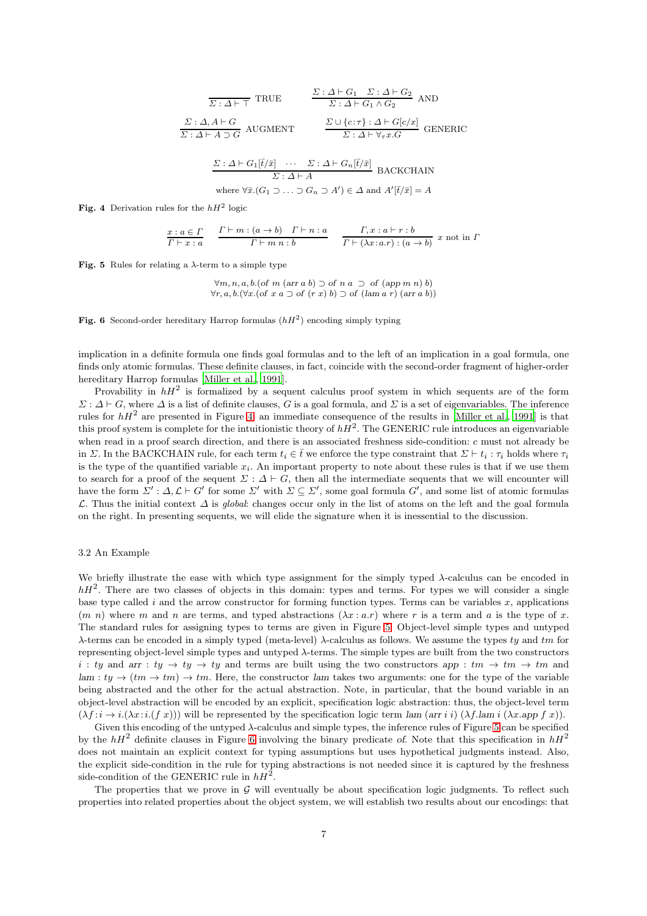$$
\frac{\Sigma : \Delta \vdash G_1 \quad \Sigma : \Delta \vdash G_2}{\Sigma : \Delta \vdash G_1 \land G_2} \text{ AND}
$$
\n
$$
\frac{\Sigma : \Delta, A \vdash G}{\Sigma : \Delta \vdash A \supset G} \text{ AUGMENT} \qquad \frac{\Sigma \cup \{c : \tau\} : \Delta \vdash G[c/x]}{\Sigma : \Delta \vdash \forall \tau x. G} \text{ GENERIC}
$$
\n
$$
\frac{\Sigma : \Delta \vdash G_1[\overline{t}/\overline{x}] \quad \cdots \quad \Sigma : \Delta \vdash G_n[\overline{t}/\overline{x}]}{\Sigma : \Delta \vdash A} \text{ BACKCHAIN}
$$
\nwhere  $\forall \overline{x}. (G_1 \supset \cdots \supset G_n \supset A') \in \Delta \text{ and } A'[\overline{t}/\overline{x}] = A$ 

<span id="page-6-1"></span>Fig. 4 Derivation rules for the  $hH^2$  logic

$$
\frac{x:a\in\Gamma}{\Gamma\vdash x:a} \quad \frac{\Gamma\vdash m:(a\rightarrow b)\quad \Gamma\vdash n:a}{\Gamma\vdash m:n:b} \quad \frac{\Gamma,x:a\vdash r:b}{\Gamma\vdash (\lambda x:a.r):(a\rightarrow b)}\ x\ \text{not}\ \text{in}\ \Gamma
$$

<span id="page-6-2"></span>Fig. 5 Rules for relating a  $\lambda$ -term to a simple type

$$
\forall m, n, a, b. (of m (arr a b) \supset of n a \supset of (app m n) b) \n\forall r, a, b. (\forall x. (of x a \supset of (r x) b) \supset of (lam a r) (arr a b))
$$

<span id="page-6-3"></span>Fig. 6 Second-order hereditary Harrop formulas  $(hH^2)$  encoding simply typing

implication in a definite formula one finds goal formulas and to the left of an implication in a goal formula, one finds only atomic formulas. These definite clauses, in fact, coincide with the second-order fragment of higher-order hereditary Harrop formulas [\[Miller et al.](#page-21-12), [1991](#page-21-12)].

Provability in  $hH^2$  is formalized by a sequent calculus proof system in which sequents are of the form  $\Sigma: \Delta \vdash G$ , where  $\Delta$  is a list of definite clauses, G is a goal formula, and  $\Sigma$  is a set of eigenvariables. The inference rules for  $hH^2$  are presented in Figure [4:](#page-6-1) an immediate consequence of the results in [\[Miller et al.](#page-21-12), [1991\]](#page-21-12) is that this proof system is complete for the intuitionistic theory of  $hH^2$ . The GENERIC rule introduces an eigenvariable when read in a proof search direction, and there is an associated freshness side-condition: c must not already be in  $\Sigma$ . In the BACKCHAIN rule, for each term  $t_i \in \overline{t}$  we enforce the type constraint that  $\Sigma \vdash t_i : \tau_i$  holds where  $\tau_i$ is the type of the quantified variable  $x_i$ . An important property to note about these rules is that if we use them to search for a proof of the sequent  $\Sigma : \Delta \vdash G$ , then all the intermediate sequents that we will encounter will have the form  $\overline{\Sigma}' : \Delta, \mathcal{L} \vdash G'$  for some  $\overline{\Sigma}'$  with  $\overline{\Sigma} \subseteq \overline{\Sigma}'$ , some goal formula  $G'$ , and some list of atomic formulas L. Thus the initial context ∆ is *global*: changes occur only in the list of atoms on the left and the goal formula on the right. In presenting sequents, we will elide the signature when it is inessential to the discussion.

# <span id="page-6-0"></span>3.2 An Example

We briefly illustrate the ease with which type assignment for the simply typed  $\lambda$ -calculus can be encoded in  $hH<sup>2</sup>$ . There are two classes of objects in this domain: types and terms. For types we will consider a single base type called i and the arrow constructor for forming function types. Terms can be variables  $x$ , applications  $(m n)$  where m and n are terms, and typed abstractions  $(\lambda x : a.r)$  where r is a term and a is the type of x. The standard rules for assigning types to terms are given in Figure [5.](#page-6-2) Object-level simple types and untyped λ-terms can be encoded in a simply typed (meta-level) λ-calculus as follows. We assume the types ty and tm for representing object-level simple types and untyped λ-terms. The simple types are built from the two constructors i : ty and arr : ty  $\rightarrow$  ty  $\rightarrow$  ty and terms are built using the two constructors app : tm  $\rightarrow$  tm  $\rightarrow$  tm and  $lam : ty \rightarrow (tm \rightarrow tm) \rightarrow tm$ . Here, the constructor lam takes two arguments: one for the type of the variable being abstracted and the other for the actual abstraction. Note, in particular, that the bound variable in an object-level abstraction will be encoded by an explicit, specification logic abstraction: thus, the object-level term  $(\lambda f : i \to i.(\lambda x : i.((f x)))$  will be represented by the specification logic term lam (arr i)  $(\lambda f \cdot \text{lam } i.(\lambda x.\text{app } f x))$ .

Given this encoding of the untyped λ-calculus and simple types, the inference rules of Figure [5](#page-6-2) can be specified by the  $hH^2$  definite clauses in Figure [6](#page-6-3) involving the binary predicate of. Note that this specification in  $hH^2$ does not maintain an explicit context for typing assumptions but uses hypothetical judgments instead. Also, the explicit side-condition in the rule for typing abstractions is not needed since it is captured by the freshness side-condition of the GENERIC rule in  $hH^2$ .

The properties that we prove in  $\mathcal G$  will eventually be about specification logic judgments. To reflect such properties into related properties about the object system, we will establish two results about our encodings: that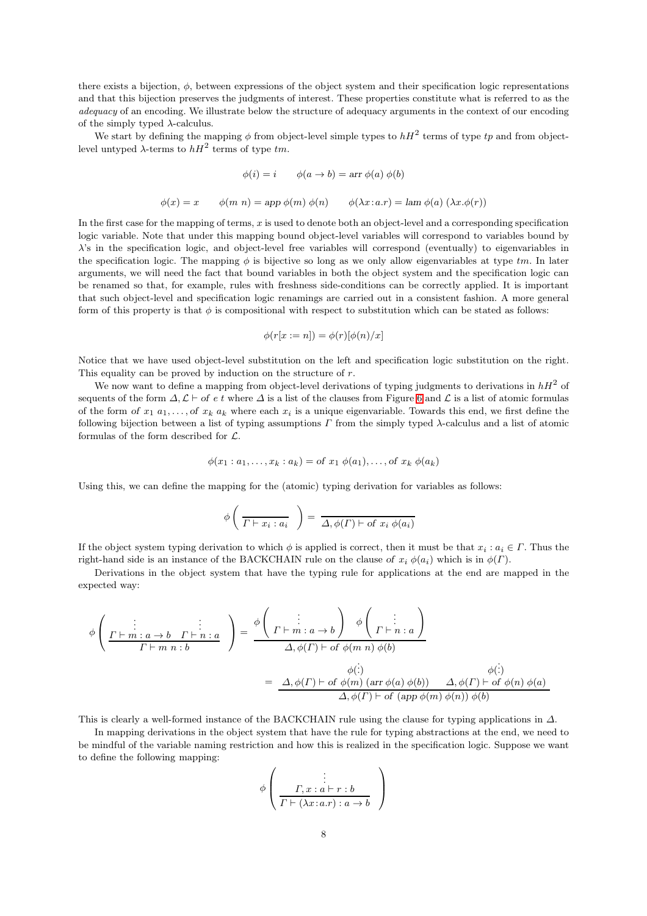there exists a bijection,  $\phi$ , between expressions of the object system and their specification logic representations and that this bijection preserves the judgments of interest. These properties constitute what is referred to as the *adequacy* of an encoding. We illustrate below the structure of adequacy arguments in the context of our encoding of the simply typed  $\lambda$ -calculus.

We start by defining the mapping  $\phi$  from object-level simple types to  $hH^2$  terms of type tp and from objectlevel untyped  $\lambda$ -terms to  $hH^2$  terms of type  $tm$ .

$$
\phi(i) = i \qquad \phi(a \to b) = \text{arr } \phi(a) \; \phi(b)
$$

$$
\phi(x) = x \qquad \phi(m \; n) = \text{app } \phi(m) \; \phi(n) \qquad \phi(\lambda x : a.r) = \text{lam } \phi(a) \; (\lambda x . \phi(r))
$$

In the first case for the mapping of terms,  $x$  is used to denote both an object-level and a corresponding specification logic variable. Note that under this mapping bound object-level variables will correspond to variables bound by λ's in the specification logic, and object-level free variables will correspond (eventually) to eigenvariables in the specification logic. The mapping  $\phi$  is bijective so long as we only allow eigenvariables at type tm. In later arguments, we will need the fact that bound variables in both the object system and the specification logic can be renamed so that, for example, rules with freshness side-conditions can be correctly applied. It is important that such object-level and specification logic renamings are carried out in a consistent fashion. A more general form of this property is that  $\phi$  is compositional with respect to substitution which can be stated as follows:

$$
\phi(r[x := n]) = \phi(r)[\phi(n)/x]
$$

Notice that we have used object-level substitution on the left and specification logic substitution on the right. This equality can be proved by induction on the structure of  $r$ .

We now want to define a mapping from object-level derivations of typing judgments to derivations in  $hH^2$  of sequents of the form  $\Delta, \mathcal{L} \vdash$  of e t where  $\Delta$  is a list of the clauses from Figure [6](#page-6-3) and  $\mathcal{L}$  is a list of atomic formulas of the form of  $x_1 a_1, \ldots,$  of  $x_k a_k$  where each  $x_i$  is a unique eigenvariable. Towards this end, we first define the following bijection between a list of typing assumptions  $\Gamma$  from the simply typed  $\lambda$ -calculus and a list of atomic formulas of the form described for L.

$$
\phi(x_1: a_1, \ldots, x_k: a_k) = \text{of } x_1 \ \phi(a_1), \ldots, \text{of } x_k \ \phi(a_k)
$$

Using this, we can define the mapping for the (atomic) typing derivation for variables as follows:

$$
\phi\left(\frac{\ }{ \Gamma\vdash x_i:a_i}\right)=\frac{\ }{ \Delta,\phi(\Gamma)\vdash \text{of }x_i\;\phi(a_i)}
$$

If the object system typing derivation to which  $\phi$  is applied is correct, then it must be that  $x_i : a_i \in \Gamma$ . Thus the right-hand side is an instance of the BACKCHAIN rule on the clause of  $x_i \phi(a_i)$  which is in  $\phi(\Gamma)$ .

Derivations in the object system that have the typing rule for applications at the end are mapped in the expected way:

$$
\phi\left(\begin{array}{c}\n\vdots & \vdots \\
\frac{\Gamma+m:a\to b\quad \Gamma\vdash n:a}{\Gamma\vdash m n:b}\n\end{array}\right) = \frac{\phi\left(\begin{array}{c}\n\vdots \\
\Gamma\vdash m:a\to b\n\end{array}\right)\phi\left(\begin{array}{c}\n\vdots \\
\Gamma\vdash n:a\n\end{array}\right)}{\Delta,\phi(\Gamma)\vdash \text{of }\phi(m n)\phi(b)}
$$
\n
$$
= \frac{\Delta,\phi(\Gamma)\vdash \text{of }\phi(m)\text{ (arr }\phi(a)\phi(b))\quad \Delta,\phi(\Gamma)\vdash \text{of }\phi(n)\phi(a)}{\Delta,\phi(\Gamma)\vdash \text{of }(\text{app }\phi(m)\phi(n))\phi(b)}
$$

This is clearly a well-formed instance of the BACKCHAIN rule using the clause for typing applications in  $\Delta$ .

In mapping derivations in the object system that have the rule for typing abstractions at the end, we need to be mindful of the variable naming restriction and how this is realized in the specification logic. Suppose we want to define the following mapping:

$$
\phi\left(\begin{array}{c}\n\vdots \\
\Gamma, x : a \vdash r : b \\
\Gamma \vdash (\lambda x : a.r) : a \rightarrow b\n\end{array}\right)
$$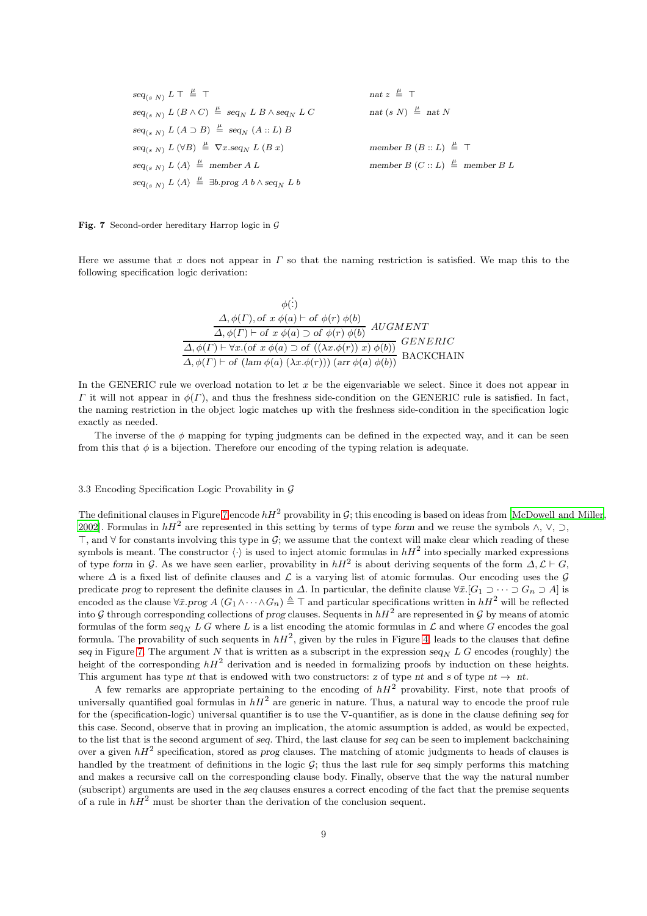$seq_{(s\ N)}$   $L \top \stackrel{\mu}{=}$  $\frac{\mu}{\equiv}$  ⊤ nat z  $\frac{\mu}{\equiv}$  ⊤  $\text{seq}_{(s\ N)}$  L  $(B \wedge C) \stackrel{\mu}{=} \text{seq}_N$  L  $B \wedge \text{seq}_N$  L  $C$  nat  $(s\ N)$  $\stackrel{\mu}{=}$  nat N  $seq_{(s\ N)} L (A \supset B) \stackrel{\mu}{=} seq_N (A :: L) B$  $seq_{(s\ N)} L (\forall B) \stackrel{\mu}{=} \nabla x . seq_N L (B x)$  member  $B (B :: L)$  $\frac{\mu}{\equiv}$  ⊤  $seq_{(s\ N)} L \langle A \rangle \stackrel{\mu}{=}$  $\stackrel{\mu}{=}$  member A L member B (C :: L)  $\stackrel{\mu}{=}$  member B L  $seq_{(s\ N)} L \langle A \rangle \stackrel{\mu}{=} \exists b. prog\ A\ b \wedge seq_N\ L\ b$ 

<span id="page-8-1"></span>Fig. 7 Second-order hereditary Harrop logic in  $\mathcal G$ 

Here we assume that x does not appear in  $\Gamma$  so that the naming restriction is satisfied. We map this to the following specification logic derivation:

$$
\phi(:)
$$
\n
$$
\Delta, \phi(\Gamma), \text{ of } x \phi(a) \vdash \text{ of } \phi(r) \phi(b)
$$
\n
$$
\Delta, \phi(\Gamma) \vdash \text{ of } x \phi(a) \supset \text{ of } \phi(r) \phi(b)
$$
\n
$$
\Delta, \phi(\Gamma) \vdash \forall x. (\text{ of } x \phi(a) \supset \text{ of } ((\lambda x. \phi(r)) x) \phi(b))
$$
\n
$$
\Delta, \phi(\Gamma) \vdash \text{ of } (\text{lam } \phi(a) (\lambda x. \phi(r))) \text{ (arr } \phi(a) \phi(b))
$$
\n
$$
\text{BACKCHAIN}
$$

In the GENERIC rule we overload notation to let  $x$  be the eigenvariable we select. Since it does not appear in  $Γ$  it will not appear in  $φ(Γ)$ , and thus the freshness side-condition on the GENERIC rule is satisfied. In fact, the naming restriction in the object logic matches up with the freshness side-condition in the specification logic exactly as needed.

The inverse of the  $\phi$  mapping for typing judgments can be defined in the expected way, and it can be seen from this that  $\phi$  is a bijection. Therefore our encoding of the typing relation is adequate.

# <span id="page-8-0"></span>3.3 Encoding Specification Logic Provability in G

The definitional clauses in Figure [7](#page-8-1) encode  $hH^2$  provability in G; this encoding is based on ideas from [\[McDowell and Miller](#page-21-6), [2002](#page-21-6)]. Formulas in  $hH^2$  are represented in this setting by terms of type form and we reuse the symbols  $\wedge$ ,  $\vee$ ,  $\supset$ , ⊤, and  $\forall$  for constants involving this type in  $\mathcal{G}$ ; we assume that the context will make clear which reading of these symbols is meant. The constructor  $\langle \cdot \rangle$  is used to inject atomic formulas in  $hH^2$  into specially marked expressions of type form in G. As we have seen earlier, provability in  $hH^2$  is about deriving sequents of the form  $\Delta, \mathcal{L} \vdash G$ , where  $\Delta$  is a fixed list of definite clauses and  $\mathcal L$  is a varying list of atomic formulas. Our encoding uses the  $\mathcal G$ predicate prog to represent the definite clauses in  $\Delta$ . In particular, the definite clause  $\forall \bar{x}$ .  $[G_1 \supset \cdots \supset G_n \supset A]$  is encoded as the clause  $\forall \bar{x}.\text{prog A } (G_1 \wedge \cdots \wedge G_n) \triangleq \top$  and particular specifications written in  $hH^2$  will be reflected into G through corresponding collections of prog clauses. Sequents in  $hH^2$  are represented in G by means of atomic formulas of the form  $seq_N L G$  where L is a list encoding the atomic formulas in L and where G encodes the goal formula. The provability of such sequents in  $hH^2$ , given by the rules in Figure [4,](#page-6-1) leads to the clauses that define seq in Figure [7.](#page-8-1) The argument N that is written as a subscript in the expression seq<sub>N</sub> L G encodes (roughly) the height of the corresponding  $hH^2$  derivation and is needed in formalizing proofs by induction on these heights. This argument has type nt that is endowed with two constructors: z of type nt and s of type nt  $\rightarrow$  nt.

A few remarks are appropriate pertaining to the encoding of  $hH^2$  provability. First, note that proofs of universally quantified goal formulas in  $hH^2$  are generic in nature. Thus, a natural way to encode the proof rule for the (specification-logic) universal quantifier is to use the ∇-quantifier, as is done in the clause defining seq for this case. Second, observe that in proving an implication, the atomic assumption is added, as would be expected, to the list that is the second argument of seq. Third, the last clause for seq can be seen to implement backchaining over a given  $hH^2$  specification, stored as prog clauses. The matching of atomic judgments to heads of clauses is handled by the treatment of definitions in the logic  $G$ ; thus the last rule for seq simply performs this matching and makes a recursive call on the corresponding clause body. Finally, observe that the way the natural number (subscript) arguments are used in the seq clauses ensures a correct encoding of the fact that the premise sequents of a rule in  $hH^2$  must be shorter than the derivation of the conclusion sequent.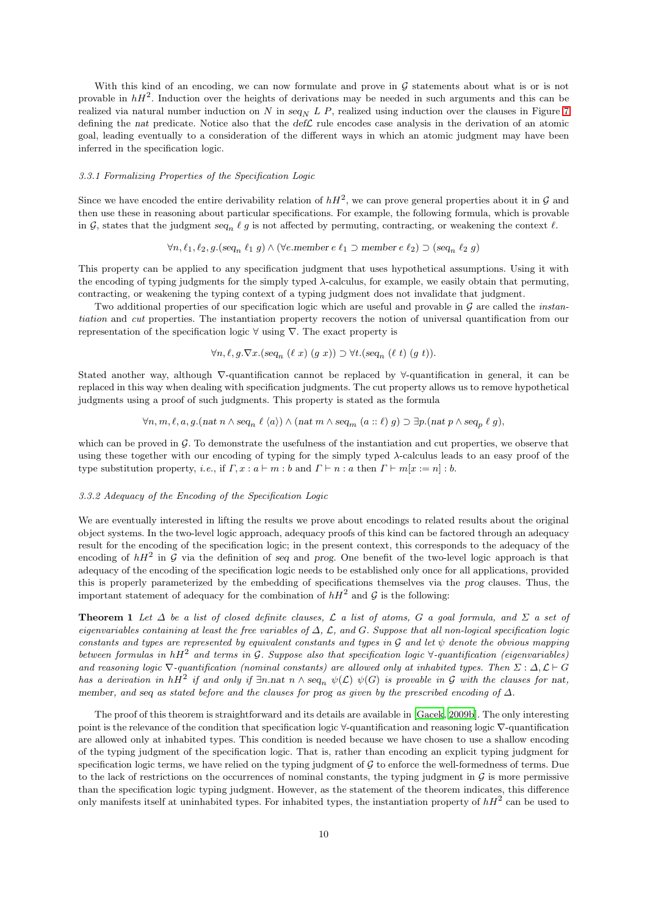With this kind of an encoding, we can now formulate and prove in  $G$  statements about what is or is not provable in  $hH^2$ . Induction over the heights of derivations may be needed in such arguments and this can be realized via natural number induction on N in  $seq_N L P$ , realized using induction over the clauses in Figure [7](#page-8-1) defining the nat predicate. Notice also that the  $def\mathcal{L}$  rule encodes case analysis in the derivation of an atomic goal, leading eventually to a consideration of the different ways in which an atomic judgment may have been inferred in the specification logic.

# *3.3.1 Formalizing Properties of the Specification Logic*

Since we have encoded the entire derivability relation of  $hH^2$ , we can prove general properties about it in  $\mathcal G$  and then use these in reasoning about particular specifications. For example, the following formula, which is provable in G, states that the judgment  $seq_n \ell g$  is not affected by permuting, contracting, or weakening the context  $\ell$ .

$$
\forall n, \ell_1, \ell_2, g. (\text{seq}_n \ell_1 g) \land (\forall e.\text{member } e \ell_1 \supset \text{member } e \ell_2) \supset (\text{seq}_n \ell_2 g)
$$

This property can be applied to any specification judgment that uses hypothetical assumptions. Using it with the encoding of typing judgments for the simply typed λ-calculus, for example, we easily obtain that permuting, contracting, or weakening the typing context of a typing judgment does not invalidate that judgment.

Two additional properties of our specification logic which are useful and provable in G are called the *instantiation* and *cut* properties. The instantiation property recovers the notion of universal quantification from our representation of the specification logic  $\forall$  using  $\nabla$ . The exact property is

$$
\forall n, \ell, g. \nabla x. (seq_n (\ell x) (g x)) \supset \forall t. (seq_n (\ell t) (g t)).
$$

Stated another way, although ∇-quantification cannot be replaced by ∀-quantification in general, it can be replaced in this way when dealing with specification judgments. The cut property allows us to remove hypothetical judgments using a proof of such judgments. This property is stated as the formula

$$
\forall n, m, \ell, a, g. (nat n \wedge seq_n \ell \langle a \rangle) \wedge (nat m \wedge seq_m (a :: \ell) g) \supset \exists p. (nat p \wedge seq_p \ell g),
$$

which can be proved in G. To demonstrate the usefulness of the instantiation and cut properties, we observe that using these together with our encoding of typing for the simply typed  $\lambda$ -calculus leads to an easy proof of the type substitution property, *i.e.*, if  $\Gamma$ ,  $x : a \vdash m : b$  and  $\Gamma \vdash n : a$  then  $\Gamma \vdash m[x := n] : b$ .

## *3.3.2 Adequacy of the Encoding of the Specification Logic*

We are eventually interested in lifting the results we prove about encodings to related results about the original object systems. In the two-level logic approach, adequacy proofs of this kind can be factored through an adequacy result for the encoding of the specification logic; in the present context, this corresponds to the adequacy of the encoding of  $hH^2$  in  $G$  via the definition of seq and prog. One benefit of the two-level logic approach is that adequacy of the encoding of the specification logic needs to be established only once for all applications, provided this is properly parameterized by the embedding of specifications themselves via the prog clauses. Thus, the important statement of adequacy for the combination of  $hH^2$  and  $\mathcal G$  is the following:

Theorem 1 *Let* ∆ *be a list of closed definite clauses,* L *a list of atoms,* G *a goal formula, and* Σ *a set of eigenvariables containing at least the free variables of* ∆*,* L*, and* G*. Suppose that all non-logical specification logic constants and types are represented by equivalent constants and types in*  $\mathcal G$  *and let*  $\psi$  *denote the obvious mapping between formulas in* hH<sup>2</sup> *and terms in* G*. Suppose also that specification logic* ∀*-quantification (eigenvariables)* and reasoning logic  $\nabla$ -quantification (nominal constants) are allowed only at inhabited types. Then  $\Sigma : \Delta, \mathcal{L} \vdash G$ *has a derivation in*  $hH^2$  *if and only if*  $\exists n$ .nat  $n \wedge seq_n \psi(\mathcal{L}) \psi(G)$  *is provable in* G *with the clauses for* nat, member*, and* seq *as stated before and the clauses for* prog *as given by the prescribed encoding of* ∆*.*

The proof of this theorem is straightforward and its details are available in [\[Gacek](#page-21-13), [2009b](#page-21-13)]. The only interesting point is the relevance of the condition that specification logic ∀-quantification and reasoning logic ∇-quantification are allowed only at inhabited types. This condition is needed because we have chosen to use a shallow encoding of the typing judgment of the specification logic. That is, rather than encoding an explicit typing judgment for specification logic terms, we have relied on the typing judgment of  $G$  to enforce the well-formedness of terms. Due to the lack of restrictions on the occurrences of nominal constants, the typing judgment in  $\mathcal G$  is more permissive than the specification logic typing judgment. However, as the statement of the theorem indicates, this difference only manifests itself at uninhabited types. For inhabited types, the instantiation property of  $hH^2$  can be used to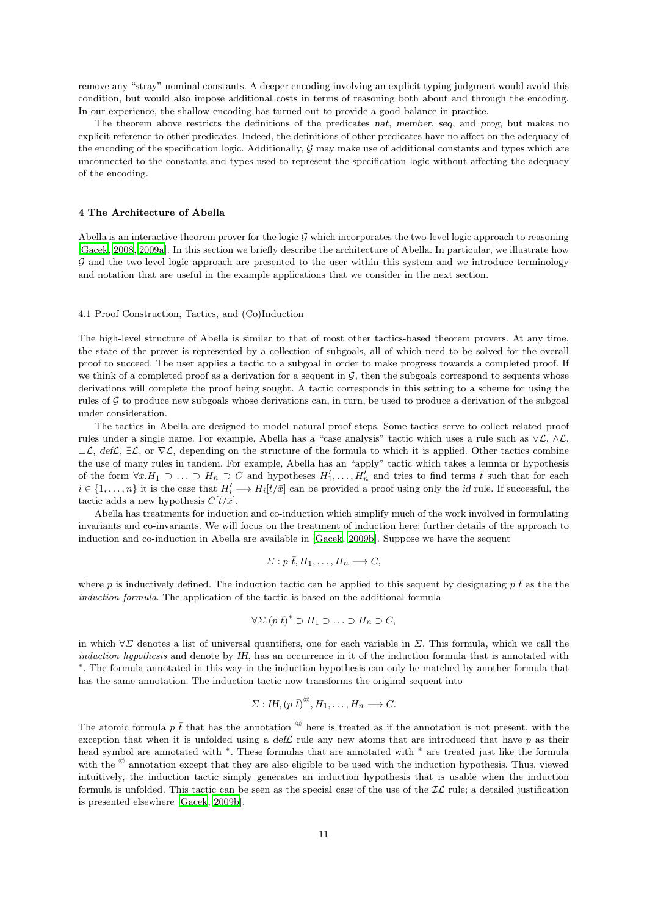remove any "stray" nominal constants. A deeper encoding involving an explicit typing judgment would avoid this condition, but would also impose additional costs in terms of reasoning both about and through the encoding. In our experience, the shallow encoding has turned out to provide a good balance in practice.

The theorem above restricts the definitions of the predicates nat, member, seq, and prog, but makes no explicit reference to other predicates. Indeed, the definitions of other predicates have no affect on the adequacy of the encoding of the specification logic. Additionally,  $\mathcal G$  may make use of additional constants and types which are unconnected to the constants and types used to represent the specification logic without affecting the adequacy of the encoding.

#### <span id="page-10-0"></span>4 The Architecture of Abella

Abella is an interactive theorem prover for the logic  $G$  which incorporates the two-level logic approach to reasoning [\[Gacek](#page-21-14), [2008,](#page-21-14) [2009a](#page-21-15)]. In this section we briefly describe the architecture of Abella. In particular, we illustrate how G and the two-level logic approach are presented to the user within this system and we introduce terminology and notation that are useful in the example applications that we consider in the next section.

# 4.1 Proof Construction, Tactics, and (Co)Induction

The high-level structure of Abella is similar to that of most other tactics-based theorem provers. At any time, the state of the prover is represented by a collection of subgoals, all of which need to be solved for the overall proof to succeed. The user applies a tactic to a subgoal in order to make progress towards a completed proof. If we think of a completed proof as a derivation for a sequent in  $G$ , then the subgoals correspond to sequents whose derivations will complete the proof being sought. A tactic corresponds in this setting to a scheme for using the rules of G to produce new subgoals whose derivations can, in turn, be used to produce a derivation of the subgoal under consideration.

The tactics in Abella are designed to model natural proof steps. Some tactics serve to collect related proof rules under a single name. For example, Abella has a "case analysis" tactic which uses a rule such as ∨L, ∧L,  $\perp \mathcal{L}$ , def $\mathcal{L}$ ,  $\exists \mathcal{L}$ , or  $\nabla \mathcal{L}$ , depending on the structure of the formula to which it is applied. Other tactics combine the use of many rules in tandem. For example, Abella has an "apply" tactic which takes a lemma or hypothesis of the form  $\forall \bar{x}. H_1 \supset \ldots \supset H_n \supset C$  and hypotheses  $H'_1, \ldots, H'_n$  and tries to find terms  $\bar{t}$  such that for each  $i \in \{1,\ldots,n\}$  it is the case that  $H'_i \longrightarrow H_i[\overline{t}/\overline{x}]$  can be provided a proof using only the *id* rule. If successful, the tactic adds a new hypothesis  $C[\bar{t}/\bar{x}].$ 

Abella has treatments for induction and co-induction which simplify much of the work involved in formulating invariants and co-invariants. We will focus on the treatment of induction here: further details of the approach to induction and co-induction in Abella are available in [\[Gacek, 2009b](#page-21-13)]. Suppose we have the sequent

$$
\Sigma: p \bar{t}, H_1, \ldots, H_n \longrightarrow C,
$$

where p is inductively defined. The induction tactic can be applied to this sequent by designating  $p \bar{t}$  as the the *induction formula*. The application of the tactic is based on the additional formula

$$
\forall \Sigma . (p \bar{t})^* \supset H_1 \supset \ldots \supset H_n \supset C,
$$

in which  $\forall \Sigma$  denotes a list of universal quantifiers, one for each variable in  $\Sigma$ . This formula, which we call the *induction hypothesis* and denote by IH, has an occurrence in it of the induction formula that is annotated with ∗ . The formula annotated in this way in the induction hypothesis can only be matched by another formula that has the same annotation. The induction tactic now transforms the original sequent into

$$
\Sigma: I\!H, (p\,\bar{t})^{\circledcirc}, H_1, \ldots, H_n \longrightarrow C.
$$

The atomic formula p  $\bar{t}$  that has the annotation  $^{\circledR}$  here is treated as if the annotation is not present, with the exception that when it is unfolded using a  $def\mathcal{L}$  rule any new atoms that are introduced that have p as their head symbol are annotated with <sup>∗</sup> . These formulas that are annotated with <sup>∗</sup> are treated just like the formula with the  $^{\circledR}$  annotation except that they are also eligible to be used with the induction hypothesis. Thus, viewed intuitively, the induction tactic simply generates an induction hypothesis that is usable when the induction formula is unfolded. This tactic can be seen as the special case of the use of the  $IL$  rule; a detailed justification is presented elsewhere [\[Gacek](#page-21-13), [2009b](#page-21-13)].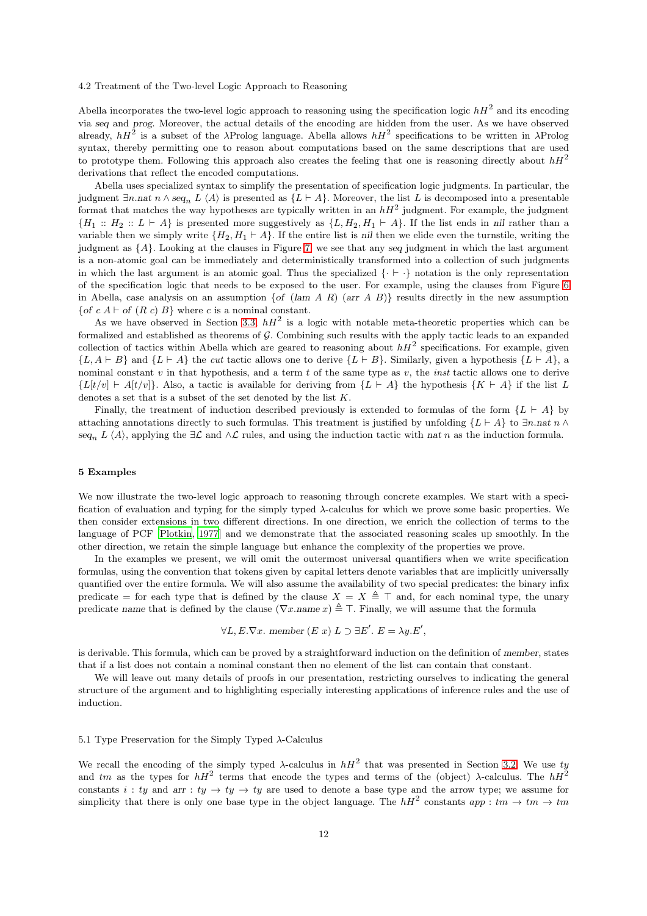## 4.2 Treatment of the Two-level Logic Approach to Reasoning

Abella incorporates the two-level logic approach to reasoning using the specification logic  $hH^2$  and its encoding via seq and prog. Moreover, the actual details of the encoding are hidden from the user. As we have observed already,  $hH^2$  is a subset of the  $\lambda$ Prolog language. Abella allows  $hH^2$  specifications to be written in  $\lambda$ Prolog syntax, thereby permitting one to reason about computations based on the same descriptions that are used to prototype them. Following this approach also creates the feeling that one is reasoning directly about  $hH^2$ derivations that reflect the encoded computations.

Abella uses specialized syntax to simplify the presentation of specification logic judgments. In particular, the judgment  $\exists n.$ nat n ∧ seq<sub>n</sub> L  $\langle A \rangle$  is presented as  $\{L \vdash A\}$ . Moreover, the list L is decomposed into a presentable format that matches the way hypotheses are typically written in an  $hH^2$  judgment. For example, the judgment  $\{H_1 :: H_2 :: L \vdash A\}$  is presented more suggestively as  $\{L, H_2, H_1 \vdash A\}$ . If the list ends in nil rather than a variable then we simply write  $\{H_2, H_1 \vdash A\}$ . If the entire list is nil then we elide even the turnstile, writing the judgment as {A}. Looking at the clauses in Figure [7,](#page-8-1) we see that any seq judgment in which the last argument is a non-atomic goal can be immediately and deterministically transformed into a collection of such judgments in which the last argument is an atomic goal. Thus the specialized {· ⊢ ·} notation is the only representation of the specification logic that needs to be exposed to the user. For example, using the clauses from Figure [6](#page-6-3) in Abella, case analysis on an assumption  $\{of (lam A R) (arr A B)\}\)$  results directly in the new assumption {of c A  $\vdash$  of (R c) B} where c is a nominal constant.

As we have observed in Section [3.3,](#page-8-0)  $hH^2$  is a logic with notable meta-theoretic properties which can be formalized and established as theorems of  $G$ . Combining such results with the apply tactic leads to an expanded collection of tactics within Abella which are geared to reasoning about  $hH^2$  specifications. For example, given  ${L, A \vdash B}$  and  ${L \vdash A}$  the *cut* tactic allows one to derive  ${L \vdash B}$ . Similarly, given a hypothesis  ${L \vdash A}$ , a nominal constant v in that hypothesis, and a term t of the same type as v, the *inst* tactic allows one to derive  ${L[t/v] \vdash A[t/v]}$ . Also, a tactic is available for deriving from  ${L \vdash A}$  the hypothesis  ${K \vdash A}$  if the list L denotes a set that is a subset of the set denoted by the list  $K$ .

Finally, the treatment of induction described previously is extended to formulas of the form  ${L \vdash A}$  by attaching annotations directly to such formulas. This treatment is justified by unfolding  $\{L \vdash A\}$  to  $\exists n.nat \, n \wedge n$ seq<sub>n</sub> L  $\langle A \rangle$ , applying the  $\exists \mathcal{L}$  and  $\wedge \mathcal{L}$  rules, and using the induction tactic with nat n as the induction formula.

#### <span id="page-11-0"></span>5 Examples

We now illustrate the two-level logic approach to reasoning through concrete examples. We start with a specification of evaluation and typing for the simply typed λ-calculus for which we prove some basic properties. We then consider extensions in two different directions. In one direction, we enrich the collection of terms to the language of PCF [\[Plotkin, 1977](#page-22-8)] and we demonstrate that the associated reasoning scales up smoothly. In the other direction, we retain the simple language but enhance the complexity of the properties we prove.

In the examples we present, we will omit the outermost universal quantifiers when we write specification formulas, using the convention that tokens given by capital letters denote variables that are implicitly universally quantified over the entire formula. We will also assume the availability of two special predicates: the binary infix predicate = for each type that is defined by the clause  $X = X \triangleq \top$  and, for each nominal type, the unary predicate name that is defined by the clause ( $\nabla x$ .name  $x$ )  $\triangleq \top$ . Finally, we will assume that the formula

$$
\forall L, E. \nabla x. \text{ member } (E \ x) \ L \supset \exists E'. \ E = \lambda y. E',
$$

is derivable. This formula, which can be proved by a straightforward induction on the definition of member, states that if a list does not contain a nominal constant then no element of the list can contain that constant.

We will leave out many details of proofs in our presentation, restricting ourselves to indicating the general structure of the argument and to highlighting especially interesting applications of inference rules and the use of induction.

### 5.1 Type Preservation for the Simply Typed λ-Calculus

We recall the encoding of the simply typed  $\lambda$ -calculus in  $hH^2$  that was presented in Section [3.2.](#page-6-0) We use ty and tm as the types for  $hH^2$  terms that encode the types and terms of the (object)  $\lambda$ -calculus. The  $hH^2$ constants i: ty and arr :  $ty \rightarrow ty \rightarrow ty$  are used to denote a base type and the arrow type; we assume for simplicity that there is only one base type in the object language. The  $hH^2$  constants  $app:tm\to tm$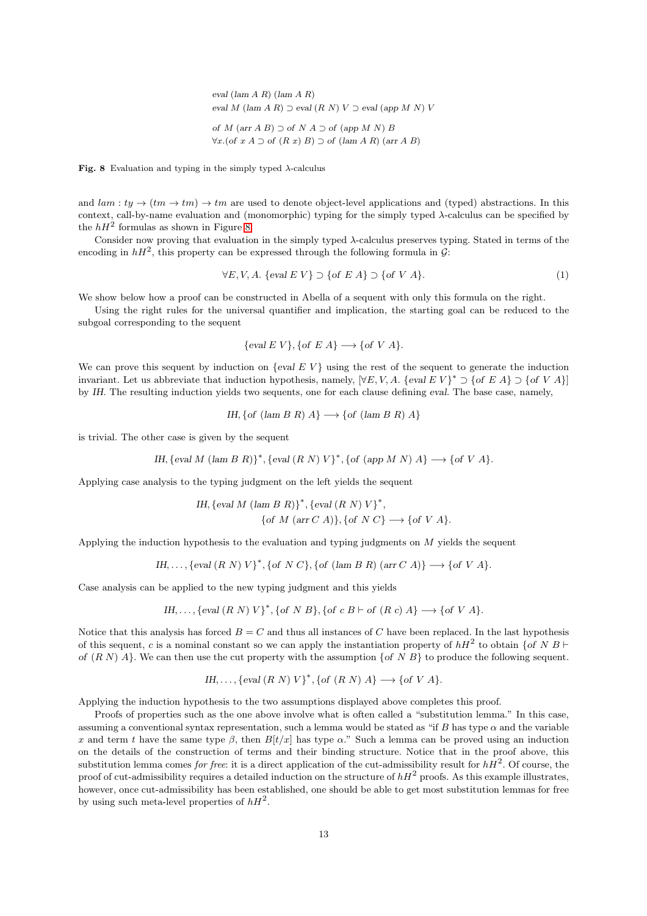eval  $(\text{lam } A \ R)$   $(\text{lam } A \ R)$ eval M (lam A R)  $\supset$  eval  $(R N) V \supset$  eval (app M N) V of M  $(\text{arr } A B) \supset$  of N  $A \supset$  of  $(\text{app } M N) B$  $\forall x. (of x A ⊇ of (R x) B) ⊇ of (lam A R) (arr A B)$ 

<span id="page-12-0"></span>Fig. 8 Evaluation and typing in the simply typed  $\lambda$ -calculus

and  $lam : ty \to (tm \to tm) \to tm$  are used to denote object-level applications and (typed) abstractions. In this context, call-by-name evaluation and (monomorphic) typing for the simply typed  $\lambda$ -calculus can be specified by the  $hH^2$  formulas as shown in Figure [8.](#page-12-0)

Consider now proving that evaluation in the simply typed  $\lambda$ -calculus preserves typing. Stated in terms of the encoding in  $hH^2$ , this property can be expressed through the following formula in  $G$ :

<span id="page-12-1"></span>
$$
\forall E, V, A. \{eval\ E \ V\} \supset \{of\ E \ A\} \supset \{of\ V \ A\}. \tag{1}
$$

We show below how a proof can be constructed in Abella of a sequent with only this formula on the right.

Using the right rules for the universal quantifier and implication, the starting goal can be reduced to the subgoal corresponding to the sequent

$$
\{eval\ E\ V\},\{of\ E\ A\} \longrightarrow \{of\ V\ A\}.
$$

We can prove this sequent by induction on  $\{eval\ E\ V\}$  using the rest of the sequent to generate the induction invariant. Let us abbreviate that induction hypothesis, namely,  $[\forall E, V, A$ . {eval EV}<sup>\*</sup>  $\supset$  {of EA}  $\supset$  {of V A}] by IH. The resulting induction yields two sequents, one for each clause defining eval. The base case, namely,

*IH*, {*of* (*lam B R*) 
$$
A
$$
}  $\longrightarrow$  {*of* (*lam B R*)  $A$ }

is trivial. The other case is given by the sequent

IH,  $\{eval M \ (lam B \ R)\}^*$ ,  $\{eval (R \ N) \ V\}^*$ ,  $\{of (app M \ N) \ A\} \longrightarrow \{of \ V \ A\}.$ 

Applying case analysis to the typing judgment on the left yields the sequent

*IH*, 
$$
\{eval\ M\ (\text{lam}\ B\ R)\}^*
$$
,  $\{eval\ (R\ N)\ V\}^*$ ,  
 $\{of\ M\ (\text{arr}\ C\ A)\}, \{of\ N\ C\} \longrightarrow \{of\ V\ A\}.$ 

Applying the induction hypothesis to the evaluation and typing judgments on  $M$  yields the sequent

*IH*,..., 
$$
\{eval(R \ N) \ V\}^*
$$
,  $\{of \ N \ C\}$ ,  $\{of (lam \ B \ R) (arr \ C \ A)\} \longrightarrow \{of \ V \ A\}.$ 

Case analysis can be applied to the new typing judgment and this yields

*IH*,..., 
$$
\{eval(R \ N) \ V\}^*
$$
,  $\{of \ N \ B\}$ ,  $\{of \ c \ B \vdash of \ (R \ c) \ A\} \longrightarrow \{of \ V \ A\}$ .

Notice that this analysis has forced  $B = C$  and thus all instances of C have been replaced. In the last hypothesis of this sequent, c is a nominal constant so we can apply the instantiation property of  $hH^2$  to obtain {of N B  $\vdash$ of  $(R N) A$ . We can then use the cut property with the assumption  $\{of N B\}$  to produce the following sequent.

*IH*,..., {eval 
$$
(R N) V
$$
<sup>\*</sup>, {of  $(R N) A$ }  $\longrightarrow$  {of  $V A$ }.

Applying the induction hypothesis to the two assumptions displayed above completes this proof.

Proofs of properties such as the one above involve what is often called a "substitution lemma." In this case, assuming a conventional syntax representation, such a lemma would be stated as "if B has type  $\alpha$  and the variable x and term t have the same type  $\beta$ , then  $B[t/x]$  has type  $\alpha$ ." Such a lemma can be proved using an induction on the details of the construction of terms and their binding structure. Notice that in the proof above, this substitution lemma comes *for free*: it is a direct application of the cut-admissibility result for  $h\overline{H}^2$ . Of course, the proof of cut-admissibility requires a detailed induction on the structure of  $hH^2$  proofs. As this example illustrates, however, once cut-admissibility has been established, one should be able to get most substitution lemmas for free by using such meta-level properties of  $hH^2$ .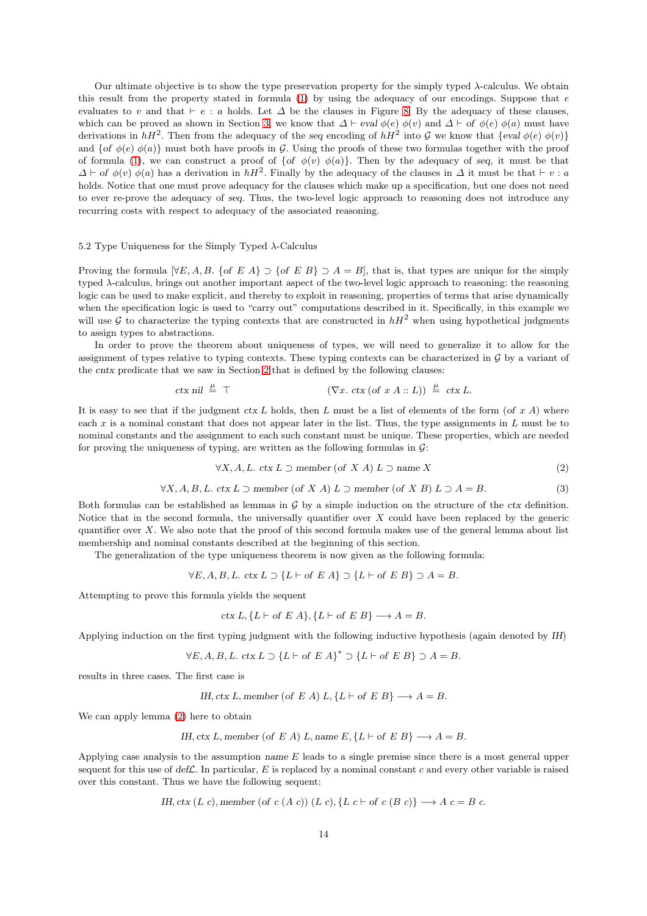Our ultimate objective is to show the type preservation property for the simply typed  $\lambda$ -calculus. We obtain this result from the property stated in formula  $(1)$  by using the adequacy of our encodings. Suppose that  $e$ evaluates to v and that  $\vdash e : a$  holds. Let  $\Delta$  be the clauses in Figure [8.](#page-12-0) By the adequacy of these clauses, which can be proved as shown in Section [3,](#page-5-0) we know that  $\Delta \vdash \text{eval} \phi(e) \phi(v)$  and  $\Delta \vdash \text{of} \phi(e) \phi(a)$  must have derivations in  $hH^2$ . Then from the adequacy of the seq encoding of  $hH^2$  into G we know that  $\{eval\phi(e)\phi(v)\}$ and {of  $\phi(e)$   $\phi(a)$ } must both have proofs in G. Using the proofs of these two formulas together with the proof of formula [\(1\)](#page-12-1), we can construct a proof of  $\{\text{of } \phi(v) \phi(a)\}.$  Then by the adequacy of seq, it must be that  $\Delta \vdash$  of  $\phi(v)$   $\phi(a)$  has a derivation in  $hH^2$ . Finally by the adequacy of the clauses in  $\Delta$  it must be that  $\vdash v : a$ holds. Notice that one must prove adequacy for the clauses which make up a specification, but one does not need to ever re-prove the adequacy of seq. Thus, the two-level logic approach to reasoning does not introduce any recurring costs with respect to adequacy of the associated reasoning.

5.2 Type Uniqueness for the Simply Typed  $\lambda$ -Calculus

Proving the formula  $[\forall E, A, B, \{of E A\} \supset \{of E B\} \supset A = B]$ , that is, that types are unique for the simply typed λ-calculus, brings out another important aspect of the two-level logic approach to reasoning: the reasoning logic can be used to make explicit, and thereby to exploit in reasoning, properties of terms that arise dynamically when the specification logic is used to "carry out" computations described in it. Specifically, in this example we will use G to characterize the typing contexts that are constructed in  $hH^2$  when using hypothetical judgments to assign types to abstractions.

In order to prove the theorem about uniqueness of types, we will need to generalize it to allow for the assignment of types relative to typing contexts. These typing contexts can be characterized in  $G$  by a variant of the cntx predicate that we saw in Section [2](#page-2-0) that is defined by the following clauses:

$$
\text{ctx nil} \triangleq \top \qquad (\nabla x. \text{ ctx (of } x A :: L)) \triangleq \text{ ctx } L.
$$

It is easy to see that if the judgment ctx L holds, then L must be a list of elements of the form (of  $x A$ ) where each  $x$  is a nominal constant that does not appear later in the list. Thus, the type assignments in  $L$  must be to nominal constants and the assignment to each such constant must be unique. These properties, which are needed for proving the uniqueness of typing, are written as the following formulas in  $\mathcal{G}$ :

<span id="page-13-0"></span>
$$
\forall X, A, L. \text{ ctx } L \supset \text{member (of } X \text{ } A) \text{ } L \supset \text{ name } X \tag{2}
$$

<span id="page-13-1"></span>
$$
\forall X, A, B, L. \text{ ctx } L \supset \text{member (of } X A) L \supset \text{member (of } X B) L \supset A = B. \tag{3}
$$

Both formulas can be established as lemmas in  $G$  by a simple induction on the structure of the ctx definition. Notice that in the second formula, the universally quantifier over  $X$  could have been replaced by the generic quantifier over  $X$ . We also note that the proof of this second formula makes use of the general lemma about list membership and nominal constants described at the beginning of this section.

The generalization of the type uniqueness theorem is now given as the following formula:

$$
\forall E, A, B, L. \; ctx L \supset \{L \vdash of E A\} \supset \{L \vdash of E B\} \supset A = B.
$$

Attempting to prove this formula yields the sequent

$$
ctx L, \{L \vdash of E A\}, \{L \vdash of E B\} \longrightarrow A = B.
$$

Applying induction on the first typing judgment with the following inductive hypothesis (again denoted by IH)

$$
\forall E, A, B, L. \text{ ctx } L \supset \{L \vdash \text{of } E A\}^* \supset \{L \vdash \text{of } E B\} \supset A = B.
$$

results in three cases. The first case is

*IH*, *ctx L*, *member* (of *E A*) *L*, {*L* 
$$
\vdash
$$
 of *E B*}  $\longrightarrow$  *A* = *B*.

We can apply lemma [\(2\)](#page-13-0) here to obtain

*IH*, *ctx L*, *member* (of *E A*) *L*, *name E*, {*L* 
$$
\vdash
$$
 of *E B*}  $\longrightarrow$  *A* = *B*.

Applying case analysis to the assumption name E leads to a single premise since there is a most general upper sequent for this use of  $def\mathcal{L}$ . In particular, E is replaced by a nominal constant c and every other variable is raised over this constant. Thus we have the following sequent:

*IH*, *ctx* (*L c*), *member* (of *c* (*A c*)) (*L c*), {*L c* 
$$
\vdash
$$
 of *c* (*B c*)}  $\longrightarrow$  *A c* = *B c*.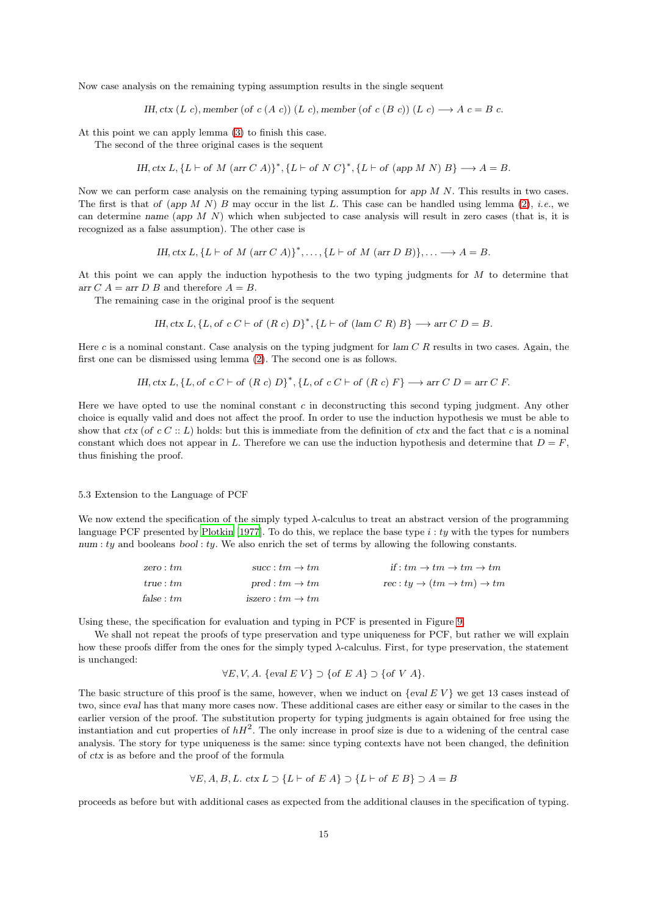Now case analysis on the remaining typing assumption results in the single sequent

IH, ctx (L c), member (of c (A c)) (L c), member (of c (B c)) (L c)  $\longrightarrow$  A c = B c.

At this point we can apply lemma [\(3\)](#page-13-1) to finish this case.

The second of the three original cases is the sequent

IH, ctx L,  ${L \vdash of M \text{ (arr } C A)}^*$ ,  ${L \vdash of N C}^*$ ,  ${L \vdash of (app M N) B} \rightarrow A = B$ .

Now we can perform case analysis on the remaining typing assumption for app  $M N$ . This results in two cases. The first is that of (app  $M N$ ) B may occur in the list L. This case can be handled using lemma [\(2\)](#page-13-0), *i.e.*, we can determine name (app  $M N$ ) which when subjected to case analysis will result in zero cases (that is, it is recognized as a false assumption). The other case is

IH, ctx L,  $\{L \vdash \text{of } M \text{ (arr } C \ A)\}^*, \ldots, \{L \vdash \text{of } M \text{ (arr } D \ B)\}, \ldots \longrightarrow A = B.$ 

At this point we can apply the induction hypothesis to the two typing judgments for M to determine that arr C  $A = \text{arr } D B$  and therefore  $A = B$ .

The remaining case in the original proof is the sequent

*IH*, *ctx* 
$$
L
$$
, { $L$ , *of*  $c C \vdash$  *of*  $(R c) D$   $)$ <sup>\*</sup>, { $L \vdash$  *of*  $(\text{lam } C R) B$ }  $\longrightarrow$  *arr*  $C D = B$ .

Here c is a nominal constant. Case analysis on the typing judgment for  $\text{lam } C R$  results in two cases. Again, the first one can be dismissed using lemma [\(2\)](#page-13-0). The second one is as follows.

*IH*, *ctx* 
$$
L
$$
, *{}fL*, *of*  $cC \vdash$  *of*  $(R \ c)$   $D$ <sup>\*</sup>, { $L$ , *of*  $cC \vdash$  *of*  $(R \ c)$   $F$ }  $\longrightarrow$  *arr*  $C$   $D$  = *arr*  $C$   $F$ .

Here we have opted to use the nominal constant  $c$  in deconstructing this second typing judgment. Any other choice is equally valid and does not affect the proof. In order to use the induction hypothesis we must be able to show that ctx (of c C :: L) holds: but this is immediate from the definition of ctx and the fact that c is a nominal constant which does not appear in L. Therefore we can use the induction hypothesis and determine that  $D = F$ , thus finishing the proof.

# 5.3 Extension to the Language of PCF

We now extend the specification of the simply typed  $\lambda$ -calculus to treat an abstract version of the programming language PCF presented by [Plotkin \[1977](#page-22-8)]. To do this, we replace the base type  $i : ty$  with the types for numbers  $num: ty$  and booleans  $bool: ty$ . We also enrich the set of terms by allowing the following constants.

| zero : tm  | succ: $tm \rightarrow tm$    | if : $tm \to tm \to tm \to tm$                           |
|------------|------------------------------|----------------------------------------------------------|
| true:tm    | $pred:tm\rightarrow tm$      | $rec: ty \rightarrow (tm \rightarrow tm) \rightarrow tm$ |
| false : tm | iszero : $tm \rightarrow tm$ |                                                          |

Using these, the specification for evaluation and typing in PCF is presented in Figure [9.](#page-15-0)

We shall not repeat the proofs of type preservation and type uniqueness for PCF, but rather we will explain how these proofs differ from the ones for the simply typed  $\lambda$ -calculus. First, for type preservation, the statement is unchanged:

$$
\forall E, V, A.
$$
 {eval  $E V$ }  $\supset$  {of  $E A$ }  $\supset$  {of  $V A$ }.

The basic structure of this proof is the same, however, when we induct on  $\{eval\ E\ V\}$  we get 13 cases instead of two, since eval has that many more cases now. These additional cases are either easy or similar to the cases in the earlier version of the proof. The substitution property for typing judgments is again obtained for free using the instantiation and cut properties of  $hH^2$ . The only increase in proof size is due to a widening of the central case analysis. The story for type uniqueness is the same: since typing contexts have not been changed, the definition of ctx is as before and the proof of the formula

$$
\forall E, A, B, L. \text{ ctx } L \supset \{L \vdash \text{of } E \text{ } A\} \supset \{L \vdash \text{of } E \text{ } B\} \supset A = B
$$

proceeds as before but with additional cases as expected from the additional clauses in the specification of typing.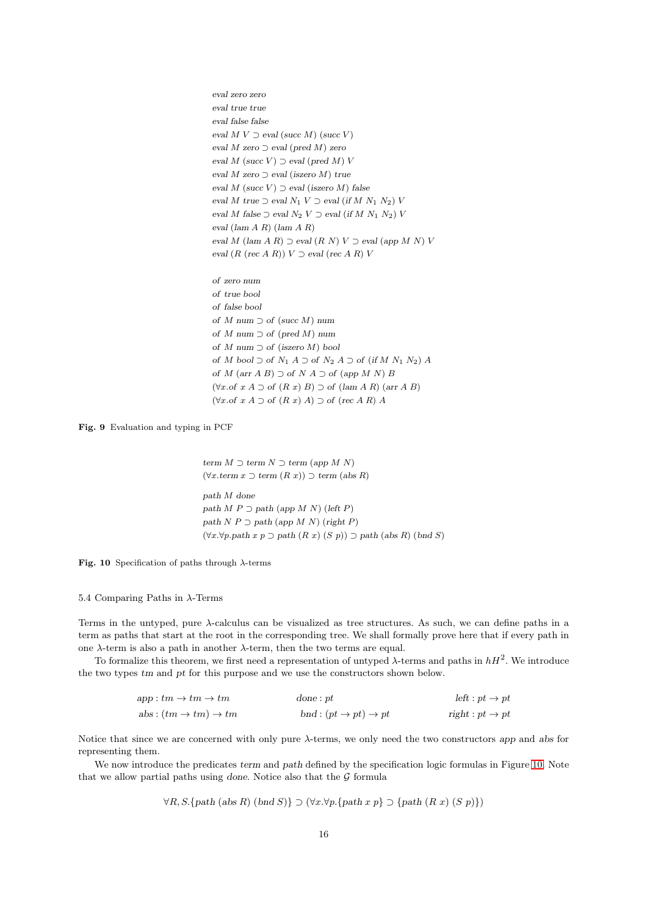eval zero zero eval true true eval false false eval  $M V \supset$  eval (succ  $M$ ) (succ  $V$ ) eval  $M$  zero  $\supset$  eval (pred  $M$ ) zero eval  $M$  (succ  $V$ )  $\supset$  eval (pred  $M$ )  $V$ eval M zero  $\supset$  eval (iszero M) true eval M (succ V)  $\supset$  eval (iszero M) false eval M true  $\supset$  eval  $N_1$  V  $\supset$  eval (if M  $N_1$   $N_2$ ) V eval M false  $\supset$  eval  $N_2$  V  $\supset$  eval (if M  $N_1$   $N_2$ ) V eval (lam A R) (lam A R) eval M (lam A R)  $\supset$  eval  $(R N) V \supset$  eval (app M N) V eval  $(R \ (rec \ A \ R)) \ V \supset eval \ (rec \ A \ R) \ V$ 

of zero num of true bool of false bool of M num  $\supset$  of (succ M) num of  $M$  num  $\supset$  of (pred  $M$ ) num of  $M$  num ⊃ of (iszero  $M$ ) bool of M bool  $\supset$  of  $N_1$  A  $\supset$  of  $N_2$  A  $\supset$  of (if M  $N_1$   $N_2$ ) A of  $M$  (arr  $A$  B)  $\supset$  of  $N$   $A$   $\supset$  of (app  $M$   $N$ )  $B$  $(\forall x. \text{of } x A \supset \text{of } (R x) B) \supset \text{of } (\text{lam } A R) (\text{arr } A B)$  $(\forall x. \text{of } x A \supset \text{of } (R x) A) \supset \text{of } (\text{rec } A R) A$ 

<span id="page-15-0"></span>Fig. 9 Evaluation and typing in PCF

term  $M \supset$  term  $N \supset$  term (app  $M N$ )  $(\forall x.$ term  $x \supset$ term  $(R x)) \supset$ term (abs R) path M done path  $M P \supset$  path (app  $M N$ ) (left P) path  $N P \supset$  path (app M N) (right P) (∀x.∀p.path x p ⊃ path (R x) (S p)) ⊃ path (abs R) (bnd S)

<span id="page-15-1"></span>Fig. 10 Specification of paths through  $\lambda$ -terms

#### <span id="page-15-2"></span>5.4 Comparing Paths in  $\lambda$ -Terms

Terms in the untyped, pure λ-calculus can be visualized as tree structures. As such, we can define paths in a term as paths that start at the root in the corresponding tree. We shall formally prove here that if every path in one  $\lambda$ -term is also a path in another  $\lambda$ -term, then the two terms are equal.

To formalize this theorem, we first need a representation of untyped  $\lambda$ -terms and paths in  $hH^2$ . We introduce the two types tm and pt for this purpose and we use the constructors shown below.

| $app:tm\rightarrow tm\rightarrow tm$      | done:pt                                   | $left: pt \rightarrow pt$  |
|-------------------------------------------|-------------------------------------------|----------------------------|
| abs: $(tm \rightarrow tm) \rightarrow tm$ | bnd: $(pt \rightarrow pt) \rightarrow pt$ | $right: pt \rightarrow pt$ |

Notice that since we are concerned with only pure λ-terms, we only need the two constructors app and abs for representing them.

We now introduce the predicates term and path defined by the specification logic formulas in Figure [10.](#page-15-1) Note that we allow partial paths using done. Notice also that the  $G$  formula

$$
\forall R, S. \{path (abs R) (bnd S) \} \supset (\forall x. \forall p. \{path x p\} \supset \{path (R x) (S p) \})
$$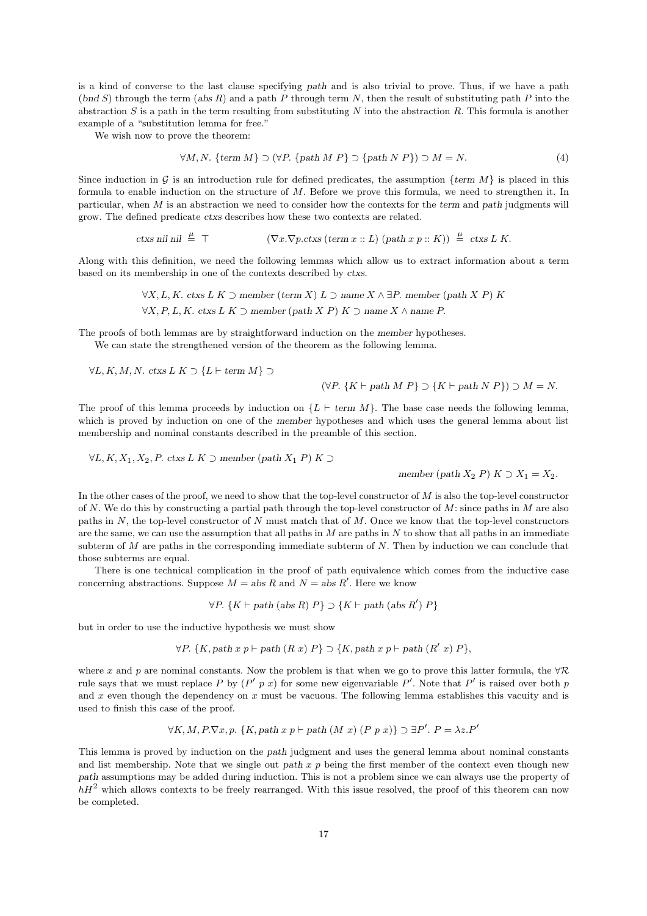is a kind of converse to the last clause specifying path and is also trivial to prove. Thus, if we have a path  $(bnd S)$  through the term  $(abs R)$  and a path P through term N, then the result of substituting path P into the abstraction  $S$  is a path in the term resulting from substituting  $N$  into the abstraction  $R$ . This formula is another example of a "substitution lemma for free."

We wish now to prove the theorem:

$$
\forall M, N. \{term M\} \supset (\forall P. \{path M P\} \supset \{path N P\}) \supset M = N. \tag{4}
$$

Since induction in G is an introduction rule for defined predicates, the assumption  $\{term M\}$  is placed in this formula to enable induction on the structure of M. Before we prove this formula, we need to strengthen it. In particular, when  $M$  is an abstraction we need to consider how the contexts for the term and path judgments will grow. The defined predicate ctxs describes how these two contexts are related.

> ctxs nil nil  $\stackrel{\mu}{=} \top$  $\stackrel{\mu}{=} \top$  ( $\nabla x.\nabla p. ctxs$  (term  $x :: L$ ) (path  $x p :: K$ ))  $\stackrel{\mu}{=} ctxs L K$ .

Along with this definition, we need the following lemmas which allow us to extract information about a term based on its membership in one of the contexts described by ctxs.

> $\forall X, L, K$ . ctxs L K ⊃ member (term X) L ⊃ name  $X \wedge \exists P$ . member (path X P) K  $\forall X, P, L, K$ . ctxs L K ⊃ member (path X P) K ⊃ name X ∧ name P.

The proofs of both lemmas are by straightforward induction on the member hypotheses.

We can state the strengthened version of the theorem as the following lemma.

 $\forall L, K, M, N$ . ctxs  $L K \supset \{L \vdash \text{term } M\} \supset$ 

$$
(\forall P. \{K \vdash path \ M \ P\} \supset \{K \vdash path \ N \ P\}) \supset M = N.
$$

The proof of this lemma proceeds by induction on  $\{L \vdash \text{term } M\}$ . The base case needs the following lemma, which is proved by induction on one of the member hypotheses and which uses the general lemma about list membership and nominal constants described in the preamble of this section.

 $\forall L, K, X_1, X_2, P$ . ctxs L K ⊃ member (path  $X_1$  P) K ⊃

member (path  $X_2$  P)  $K \supset X_1 = X_2$ .

In the other cases of the proof, we need to show that the top-level constructor of  $M$  is also the top-level constructor of N. We do this by constructing a partial path through the top-level constructor of M: since paths in M are also paths in  $N$ , the top-level constructor of  $N$  must match that of  $M$ . Once we know that the top-level constructors are the same, we can use the assumption that all paths in  $M$  are paths in  $N$  to show that all paths in an immediate subterm of  $M$  are paths in the corresponding immediate subterm of  $N$ . Then by induction we can conclude that those subterms are equal.

There is one technical complication in the proof of path equivalence which comes from the inductive case concerning abstractions. Suppose  $M = abs R$  and  $N = abs R'$ . Here we know

 $\forall P. \{K \vdash path \, (abs \, R) \, P\} \supset \{K \vdash path \, (abs \, R') \, P\}$ 

but in order to use the inductive hypothesis we must show

$$
\forall P. \{K, path\ x\ p \vdash path\ (R\ x)\ P\} \supset \{K, path\ x\ p \vdash path\ (R'\ x)\ P\},\
$$

where x and p are nominal constants. Now the problem is that when we go to prove this latter formula, the  $\forall \mathcal{R}$ rule says that we must replace P by  $(P' p x)$  for some new eigenvariable P'. Note that P' is raised over both p and x even though the dependency on  $x$  must be vacuous. The following lemma establishes this vacuity and is used to finish this case of the proof.

$$
\forall K, M, P. \nabla x, p. \{K, path x p \vdash path (M x) (P p x)\} \supset \exists P'. P = \lambda z. P'
$$

This lemma is proved by induction on the path judgment and uses the general lemma about nominal constants and list membership. Note that we single out path  $x$  p being the first member of the context even though new path assumptions may be added during induction. This is not a problem since we can always use the property of  $hH<sup>2</sup>$  which allows contexts to be freely rearranged. With this issue resolved, the proof of this theorem can now be completed.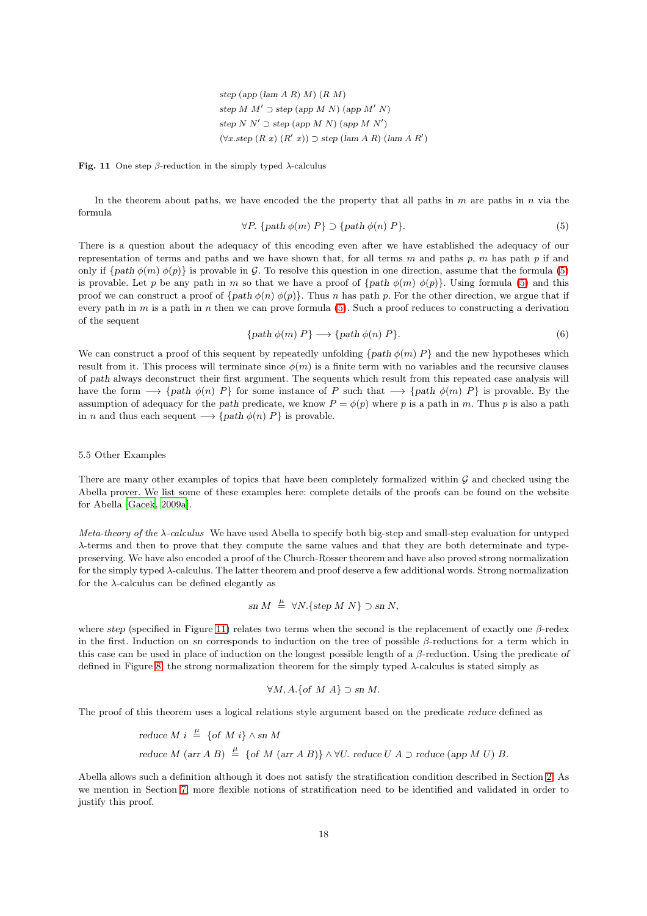step (app (lam  $A R(M)$ )  $(R M)$ step M  $M' \supset$  step (app M N) (app M' N) step  $N N' \supset$  step (app  $M N'$ ) (app  $M N'$ )  $(\forall x \text{.step } (R \ x) \ (R' \ x)) \supset \text{step (lam } A \ R) \ (lam \ A \ R')$ 

<span id="page-17-1"></span>Fig. 11 One step  $\beta$ -reduction in the simply typed  $\lambda$ -calculus

In the theorem about paths, we have encoded the the property that all paths in  $m$  are paths in  $n$  via the formula

<span id="page-17-0"></span>
$$
\forall P. \{path \phi(m) \, P\} \supset \{path \phi(n) \, P\}. \tag{5}
$$

There is a question about the adequacy of this encoding even after we have established the adequacy of our representation of terms and paths and we have shown that, for all terms m and paths p, m has path p if and only if  $\{path \phi(m) \phi(p)\}\$ is provable in G. To resolve this question in one direction, assume that the formula [\(5\)](#page-17-0) is provable. Let p be any path in m so that we have a proof of  $\{path \phi(m) \phi(p)\}$ . Using formula [\(5\)](#page-17-0) and this proof we can construct a proof of  $\{path \phi(n) \phi(p)\}\$ . Thus n has path p. For the other direction, we argue that if every path in m is a path in n then we can prove formula  $(5)$ . Such a proof reduces to constructing a derivation of the sequent

$$
\{ path \phi(m) P\} \longrightarrow \{ path \phi(n) P\}.
$$
\n<sup>(6)</sup>

We can construct a proof of this sequent by repeatedly unfolding  $\{path \phi(m) P\}$  and the new hypotheses which result from it. This process will terminate since  $\phi(m)$  is a finite term with no variables and the recursive clauses of path always deconstruct their first argument. The sequents which result from this repeated case analysis will have the form  $\longrightarrow$  {path  $\phi(n)$  P} for some instance of P such that  $\longrightarrow$  {path  $\phi(m)$  P} is provable. By the assumption of adequacy for the path predicate, we know  $P = \phi(p)$  where p is a path in m. Thus p is also a path in *n* and thus each sequent  $\longrightarrow$  {path  $\phi(n)$  *P*} is provable.

#### <span id="page-17-2"></span>5.5 Other Examples

There are many other examples of topics that have been completely formalized within  $\mathcal G$  and checked using the Abella prover. We list some of these examples here: complete details of the proofs can be found on the website for Abella [\[Gacek, 2009a](#page-21-15)].

*Meta-theory of the* λ*-calculus* We have used Abella to specify both big-step and small-step evaluation for untyped λ-terms and then to prove that they compute the same values and that they are both determinate and typepreserving. We have also encoded a proof of the Church-Rosser theorem and have also proved strong normalization for the simply typed λ-calculus. The latter theorem and proof deserve a few additional words. Strong normalization for the  $\lambda$ -calculus can be defined elegantly as

$$
sn M \stackrel{\mu}{=} \forall N. \{ step M N \} \supset sn N,
$$

where step (specified in Figure [11\)](#page-17-1) relates two terms when the second is the replacement of exactly one  $\beta$ -redex in the first. Induction on sn corresponds to induction on the tree of possible  $\beta$ -reductions for a term which in this case can be used in place of induction on the longest possible length of a  $\beta$ -reduction. Using the predicate of defined in Figure [8,](#page-12-0) the strong normalization theorem for the simply typed  $\lambda$ -calculus is stated simply as

$$
\forall M, A. \{of M A\} \supset \text{sn } M.
$$

The proof of this theorem uses a logical relations style argument based on the predicate reduce defined as

reduce 
$$
M
$$
  $i \stackrel{\mu}{=}$  {of  $M$   $i$ }  $\wedge$  sn  $M$   
reduce  $M$  (arr  $A$   $B$ )  $\stackrel{\mu}{=}$  {of  $M$  (arr  $A$   $B$ )}  $\wedge \forall U$ . reduce  $U$   $A \supset$  reduce (app  $M$   $U$ )  $B$ .

Abella allows such a definition although it does not satisfy the stratification condition described in Section [2.](#page-2-0) As we mention in Section [7,](#page-19-0) more flexible notions of stratification need to be identified and validated in order to justify this proof.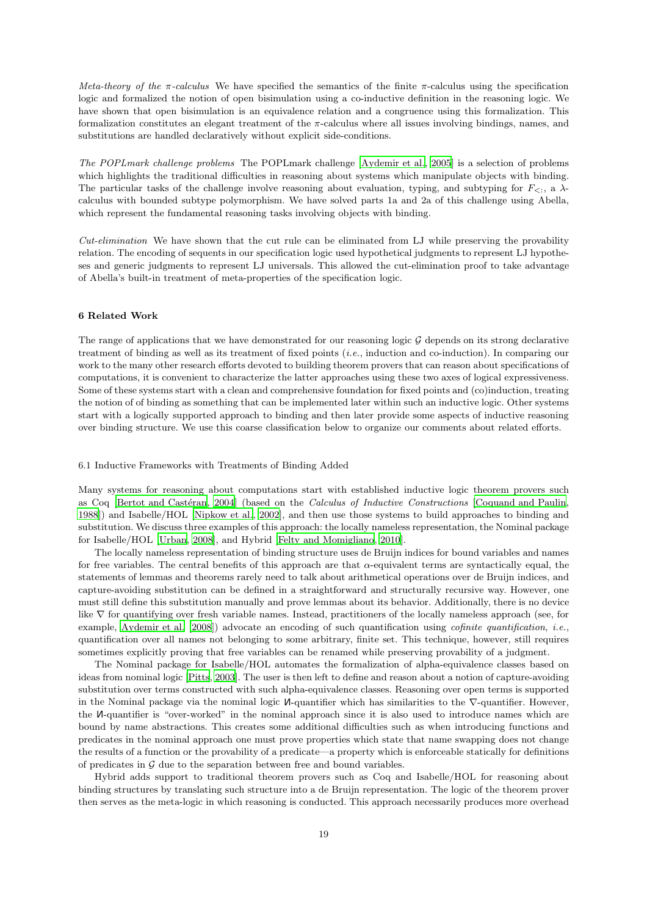*Meta-theory of the* π*-calculus* We have specified the semantics of the finite π-calculus using the specification logic and formalized the notion of open bisimulation using a co-inductive definition in the reasoning logic. We have shown that open bisimulation is an equivalence relation and a congruence using this formalization. This formalization constitutes an elegant treatment of the  $\pi$ -calculus where all issues involving bindings, names, and substitutions are handled declaratively without explicit side-conditions.

*The POPLmark challenge problems* The POPLmark challenge [\[Aydemir et al., 2005](#page-21-16)] is a selection of problems which highlights the traditional difficulties in reasoning about systems which manipulate objects with binding. The particular tasks of the challenge involve reasoning about evaluation, typing, and subtyping for  $F_{\leq}$ , a  $\lambda$ calculus with bounded subtype polymorphism. We have solved parts 1a and 2a of this challenge using Abella, which represent the fundamental reasoning tasks involving objects with binding.

*Cut-elimination* We have shown that the cut rule can be eliminated from LJ while preserving the provability relation. The encoding of sequents in our specification logic used hypothetical judgments to represent LJ hypotheses and generic judgments to represent LJ universals. This allowed the cut-elimination proof to take advantage of Abella's built-in treatment of meta-properties of the specification logic.

# <span id="page-18-0"></span>6 Related Work

The range of applications that we have demonstrated for our reasoning logic  $\mathcal G$  depends on its strong declarative treatment of binding as well as its treatment of fixed points (*i.e.*, induction and co-induction). In comparing our work to the many other research efforts devoted to building theorem provers that can reason about specifications of computations, it is convenient to characterize the latter approaches using these two axes of logical expressiveness. Some of these systems start with a clean and comprehensive foundation for fixed points and (co)induction, treating the notion of of binding as something that can be implemented later within such an inductive logic. Other systems start with a logically supported approach to binding and then later provide some aspects of inductive reasoning over binding structure. We use this coarse classification below to organize our comments about related efforts.

## 6.1 Inductive Frameworks with Treatments of Binding Added

Many systems for reasoning about computations start with established inductive logic theorem provers such as Coq [Bertot and Castéran, [2004](#page-21-17)] (based on the *Calculus of Inductive Constructions* [\[Coquand and Paulin,](#page-21-18) [1988](#page-21-18)]) and Isabelle/HOL [\[Nipkow et al.](#page-22-9), [2002\]](#page-22-9), and then use those systems to build approaches to binding and substitution. We discuss three examples of this approach: the locally nameless representation, the Nominal package for Isabelle/HOL [\[Urban, 2008\]](#page-22-10), and Hybrid [\[Felty and Momigliano](#page-21-19), [2010](#page-21-19)].

The locally nameless representation of binding structure uses de Bruijn indices for bound variables and names for free variables. The central benefits of this approach are that α-equivalent terms are syntactically equal, the statements of lemmas and theorems rarely need to talk about arithmetical operations over de Bruijn indices, and capture-avoiding substitution can be defined in a straightforward and structurally recursive way. However, one must still define this substitution manually and prove lemmas about its behavior. Additionally, there is no device like ∇ for quantifying over fresh variable names. Instead, practitioners of the locally nameless approach (see, for example, [Aydemir et al. \[2008\]](#page-21-20)) advocate an encoding of such quantification using *cofinite quantification*, *i.e.*, quantification over all names not belonging to some arbitrary, finite set. This technique, however, still requires sometimes explicitly proving that free variables can be renamed while preserving provability of a judgment.

The Nominal package for Isabelle/HOL automates the formalization of alpha-equivalence classes based on ideas from nominal logic [\[Pitts, 2003](#page-22-11)]. The user is then left to define and reason about a notion of capture-avoiding substitution over terms constructed with such alpha-equivalence classes. Reasoning over open terms is supported in the Nominal package via the nominal logic <sup>N</sup>-quantifier which has similarities to the ∇-quantifier. However, the <sup>N</sup>-quantifier is "over-worked" in the nominal approach since it is also used to introduce names which are bound by name abstractions. This creates some additional difficulties such as when introducing functions and predicates in the nominal approach one must prove properties which state that name swapping does not change the results of a function or the provability of a predicate—a property which is enforceable statically for definitions of predicates in  $G$  due to the separation between free and bound variables.

Hybrid adds support to traditional theorem provers such as Coq and Isabelle/HOL for reasoning about binding structures by translating such structure into a de Bruijn representation. The logic of the theorem prover then serves as the meta-logic in which reasoning is conducted. This approach necessarily produces more overhead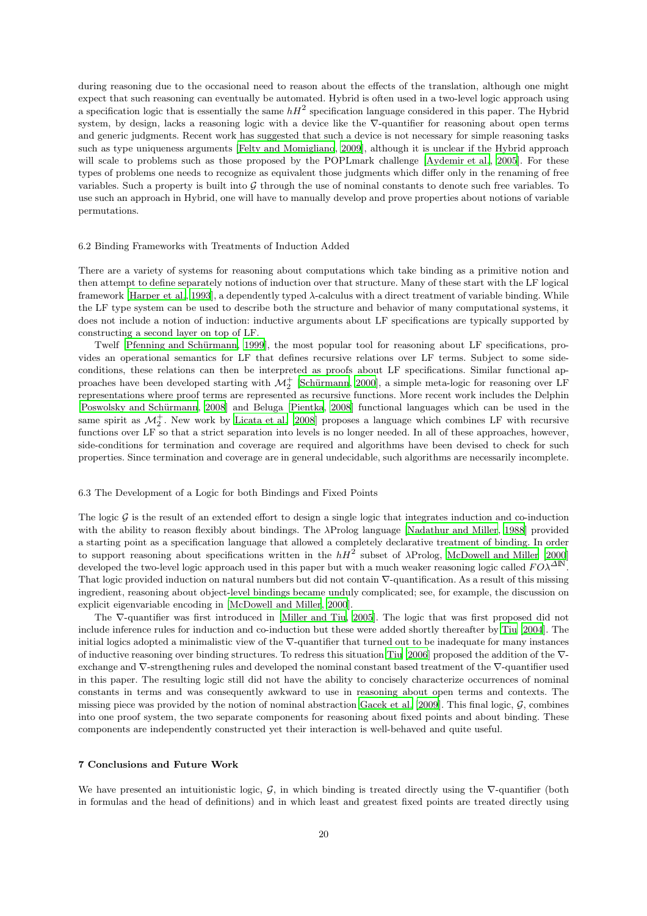during reasoning due to the occasional need to reason about the effects of the translation, although one might expect that such reasoning can eventually be automated. Hybrid is often used in a two-level logic approach using a specification logic that is essentially the same  $hH^2$  specification language considered in this paper. The Hybrid system, by design, lacks a reasoning logic with a device like the  $\nabla$ -quantifier for reasoning about open terms and generic judgments. Recent work has suggested that such a device is not necessary for simple reasoning tasks such as type uniqueness arguments [\[Felty and Momigliano](#page-21-21), [2009](#page-21-21)], although it is unclear if the Hybrid approach will scale to problems such as those proposed by the POPLmark challenge [\[Aydemir et al.](#page-21-16), [2005](#page-21-16)]. For these types of problems one needs to recognize as equivalent those judgments which differ only in the renaming of free variables. Such a property is built into  $\mathcal G$  through the use of nominal constants to denote such free variables. To use such an approach in Hybrid, one will have to manually develop and prove properties about notions of variable permutations.

#### 6.2 Binding Frameworks with Treatments of Induction Added

There are a variety of systems for reasoning about computations which take binding as a primitive notion and then attempt to define separately notions of induction over that structure. Many of these start with the LF logical framework [\[Harper et al., 1993](#page-21-22)], a dependently typed λ-calculus with a direct treatment of variable binding. While the LF type system can be used to describe both the structure and behavior of many computational systems, it does not include a notion of induction: inductive arguments about LF specifications are typically supported by constructing a second layer on top of LF.

Twelf [Pfenning and Schürmann, [1999](#page-22-12)], the most popular tool for reasoning about LF specifications, provides an operational semantics for LF that defines recursive relations over LF terms. Subject to some sideconditions, these relations can then be interpreted as proofs about LF specifications. Similar functional approaches have been developed starting with  $\mathcal{M}_2^+$  [Schürmann, [2000](#page-22-13)], a simple meta-logic for reasoning over LF representations where proof terms are represented as recursive functions. More recent work includes the Delphin [Poswolsky and Schürmann, [2008](#page-22-14)] and Beluga [\[Pientka, 2008\]](#page-22-15) functional languages which can be used in the same spirit as  $\mathcal{M}_2^+$ . New work by [Licata et al. \[2008](#page-21-23)] proposes a language which combines LF with recursive functions over LF so that a strict separation into levels is no longer needed. In all of these approaches, however, side-conditions for termination and coverage are required and algorithms have been devised to check for such properties. Since termination and coverage are in general undecidable, such algorithms are necessarily incomplete.

#### 6.3 The Development of a Logic for both Bindings and Fixed Points

The logic  $G$  is the result of an extended effort to design a single logic that integrates induction and co-induction with the ability to reason flexibly about bindings. The λProlog language [\[Nadathur and Miller, 1988](#page-21-3)] provided a starting point as a specification language that allowed a completely declarative treatment of binding. In order to support reasoning about specifications written in the  $hH^2$  subset of  $\lambda$ Prolog, [McDowell and Miller \[2000](#page-21-24)] developed the two-level logic approach used in this paper but with a much weaker reasoning logic called  $F O^{\lambda^{\Delta N}}$ . That logic provided induction on natural numbers but did not contain  $\nabla$ -quantification. As a result of this missing ingredient, reasoning about object-level bindings became unduly complicated; see, for example, the discussion on explicit eigenvariable encoding in [\[McDowell and Miller](#page-21-24), [2000\]](#page-21-24).

The ∇-quantifier was first introduced in [\[Miller and Tiu](#page-21-4), [2005](#page-21-4)]. The logic that was first proposed did not include inference rules for induction and co-induction but these were added shortly thereafter by [Tiu \[2004](#page-22-16)]. The initial logics adopted a minimalistic view of the ∇-quantifier that turned out to be inadequate for many instances of inductive reasoning over binding structures. To redress this situation [Tiu \[2006](#page-22-5)] proposed the addition of the ∇ exchange and ∇-strengthening rules and developed the nominal constant based treatment of the ∇-quantifier used in this paper. The resulting logic still did not have the ability to concisely characterize occurrences of nominal constants in terms and was consequently awkward to use in reasoning about open terms and contexts. The missing piece was provided by the notion of nominal abstraction [Gacek et al. \[2009](#page-21-5)]. This final logic,  $G$ , combines into one proof system, the two separate components for reasoning about fixed points and about binding. These components are independently constructed yet their interaction is well-behaved and quite useful.

#### <span id="page-19-0"></span>7 Conclusions and Future Work

We have presented an intuitionistic logic,  $G$ , in which binding is treated directly using the  $\nabla$ -quantifier (both in formulas and the head of definitions) and in which least and greatest fixed points are treated directly using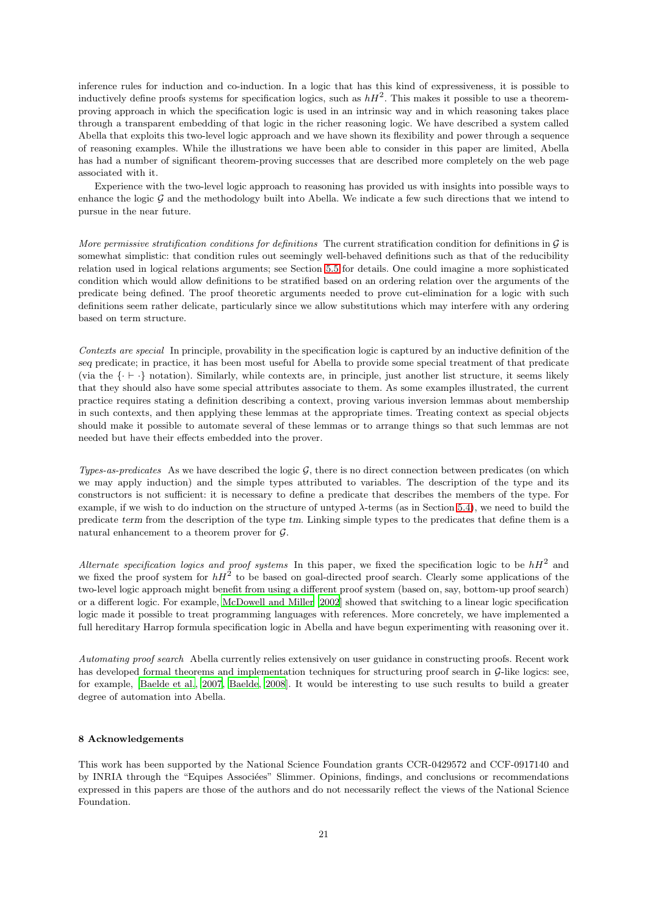inference rules for induction and co-induction. In a logic that has this kind of expressiveness, it is possible to inductively define proofs systems for specification logics, such as  $hH^2$ . This makes it possible to use a theoremproving approach in which the specification logic is used in an intrinsic way and in which reasoning takes place through a transparent embedding of that logic in the richer reasoning logic. We have described a system called Abella that exploits this two-level logic approach and we have shown its flexibility and power through a sequence of reasoning examples. While the illustrations we have been able to consider in this paper are limited, Abella has had a number of significant theorem-proving successes that are described more completely on the web page associated with it.

Experience with the two-level logic approach to reasoning has provided us with insights into possible ways to enhance the logic  $G$  and the methodology built into Abella. We indicate a few such directions that we intend to pursue in the near future.

*More permissive stratification conditions for definitions* The current stratification condition for definitions in G is somewhat simplistic: that condition rules out seemingly well-behaved definitions such as that of the reducibility relation used in logical relations arguments; see Section [5.5](#page-17-2) for details. One could imagine a more sophisticated condition which would allow definitions to be stratified based on an ordering relation over the arguments of the predicate being defined. The proof theoretic arguments needed to prove cut-elimination for a logic with such definitions seem rather delicate, particularly since we allow substitutions which may interfere with any ordering based on term structure.

*Contexts are special* In principle, provability in the specification logic is captured by an inductive definition of the seq predicate; in practice, it has been most useful for Abella to provide some special treatment of that predicate (via the {· ⊢ ·} notation). Similarly, while contexts are, in principle, just another list structure, it seems likely that they should also have some special attributes associate to them. As some examples illustrated, the current practice requires stating a definition describing a context, proving various inversion lemmas about membership in such contexts, and then applying these lemmas at the appropriate times. Treating context as special objects should make it possible to automate several of these lemmas or to arrange things so that such lemmas are not needed but have their effects embedded into the prover.

*Types-as-predicates* As we have described the logic G, there is no direct connection between predicates (on which we may apply induction) and the simple types attributed to variables. The description of the type and its constructors is not sufficient: it is necessary to define a predicate that describes the members of the type. For example, if we wish to do induction on the structure of untyped  $\lambda$ -terms (as in Section [5.4\)](#page-15-2), we need to build the predicate term from the description of the type tm. Linking simple types to the predicates that define them is a natural enhancement to a theorem prover for G.

*Alternate specification logics and proof systems* In this paper, we fixed the specification logic to be  $hH^2$  and we fixed the proof system for  $hH^2$  to be based on goal-directed proof search. Clearly some applications of the two-level logic approach might benefit from using a different proof system (based on, say, bottom-up proof search) or a different logic. For example, [McDowell and Miller \[2002](#page-21-6)] showed that switching to a linear logic specification logic made it possible to treat programming languages with references. More concretely, we have implemented a full hereditary Harrop formula specification logic in Abella and have begun experimenting with reasoning over it.

*Automating proof search* Abella currently relies extensively on user guidance in constructing proofs. Recent work has developed formal theorems and implementation techniques for structuring proof search in G-like logics: see, for example, [\[Baelde et al.](#page-21-25), [2007](#page-21-25), [Baelde, 2008](#page-21-26)]. It would be interesting to use such results to build a greater degree of automation into Abella.

# 8 Acknowledgements

This work has been supported by the National Science Foundation grants CCR-0429572 and CCF-0917140 and by INRIA through the "Equipes Associées" Slimmer. Opinions, findings, and conclusions or recommendations expressed in this papers are those of the authors and do not necessarily reflect the views of the National Science Foundation.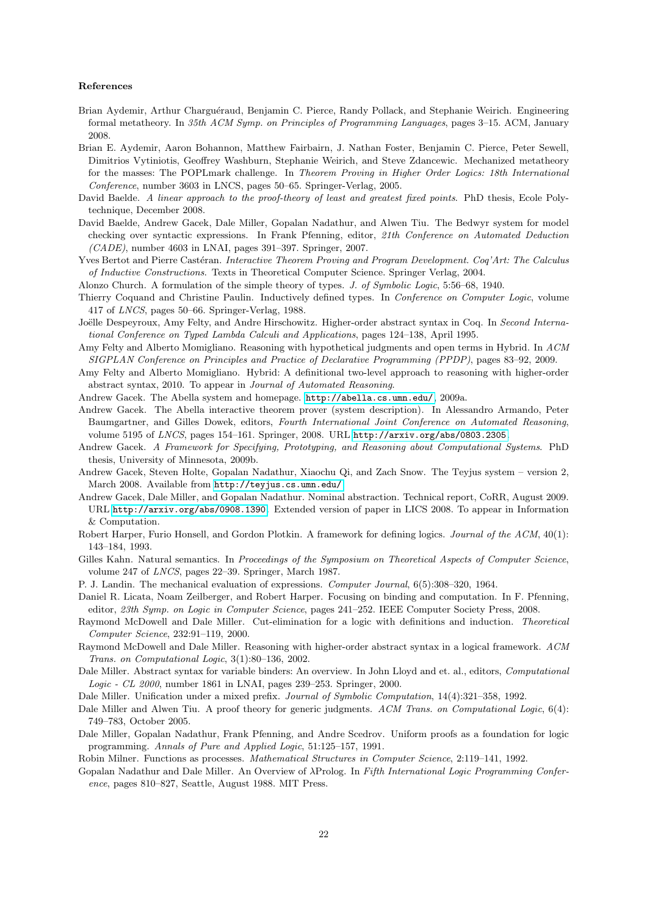# References

- <span id="page-21-20"></span>Brian Aydemir, Arthur Charguéraud, Benjamin C. Pierce, Randy Pollack, and Stephanie Weirich. Engineering formal metatheory. In *35th ACM Symp. on Principles of Programming Languages*, pages 3–15. ACM, January 2008.
- <span id="page-21-16"></span>Brian E. Aydemir, Aaron Bohannon, Matthew Fairbairn, J. Nathan Foster, Benjamin C. Pierce, Peter Sewell, Dimitrios Vytiniotis, Geoffrey Washburn, Stephanie Weirich, and Steve Zdancewic. Mechanized metatheory for the masses: The POPLmark challenge. In *Theorem Proving in Higher Order Logics: 18th International Conference*, number 3603 in LNCS, pages 50–65. Springer-Verlag, 2005.
- <span id="page-21-26"></span>David Baelde. *A linear approach to the proof-theory of least and greatest fixed points*. PhD thesis, Ecole Polytechnique, December 2008.
- <span id="page-21-25"></span>David Baelde, Andrew Gacek, Dale Miller, Gopalan Nadathur, and Alwen Tiu. The Bedwyr system for model checking over syntactic expressions. In Frank Pfenning, editor, *21th Conference on Automated Deduction (CADE)*, number 4603 in LNAI, pages 391–397. Springer, 2007.
- <span id="page-21-17"></span>Yves Bertot and Pierre Castéran. *Interactive Theorem Proving and Program Development. Coq'Art: The Calculus of Inductive Constructions*. Texts in Theoretical Computer Science. Springer Verlag, 2004.
- <span id="page-21-9"></span>Alonzo Church. A formulation of the simple theory of types. *J. of Symbolic Logic*, 5:56–68, 1940.
- <span id="page-21-18"></span>Thierry Coquand and Christine Paulin. Inductively defined types. In *Conference on Computer Logic*, volume 417 of *LNCS*, pages 50–66. Springer-Verlag, 1988.
- <span id="page-21-7"></span>Joëlle Despeyroux, Amy Felty, and Andre Hirschowitz. Higher-order abstract syntax in Coq. In *Second International Conference on Typed Lambda Calculi and Applications*, pages 124–138, April 1995.
- <span id="page-21-21"></span>Amy Felty and Alberto Momigliano. Reasoning with hypothetical judgments and open terms in Hybrid. In *ACM SIGPLAN Conference on Principles and Practice of Declarative Programming (PPDP)*, pages 83–92, 2009.
- <span id="page-21-19"></span>Amy Felty and Alberto Momigliano. Hybrid: A definitional two-level approach to reasoning with higher-order abstract syntax, 2010. To appear in *Journal of Automated Reasoning*.
- <span id="page-21-15"></span>Andrew Gacek. The Abella system and homepage. <http://abella.cs.umn.edu/>, 2009a.
- <span id="page-21-14"></span>Andrew Gacek. The Abella interactive theorem prover (system description). In Alessandro Armando, Peter Baumgartner, and Gilles Dowek, editors, *Fourth International Joint Conference on Automated Reasoning*, volume 5195 of *LNCS*, pages 154–161. Springer, 2008. URL <http://arxiv.org/abs/0803.2305>.
- <span id="page-21-13"></span>Andrew Gacek. *A Framework for Specifying, Prototyping, and Reasoning about Computational Systems*. PhD thesis, University of Minnesota, 2009b.
- <span id="page-21-11"></span>Andrew Gacek, Steven Holte, Gopalan Nadathur, Xiaochu Qi, and Zach Snow. The Teyjus system – version 2, March 2008. Available from <http://teyjus.cs.umn.edu/>.
- <span id="page-21-5"></span>Andrew Gacek, Dale Miller, and Gopalan Nadathur. Nominal abstraction. Technical report, CoRR, August 2009. URL <http://arxiv.org/abs/0908.1390>. Extended version of paper in LICS 2008. To appear in Information & Computation.
- <span id="page-21-22"></span>Robert Harper, Furio Honsell, and Gordon Plotkin. A framework for defining logics. *Journal of the ACM*, 40(1): 143–184, 1993.
- <span id="page-21-2"></span>Gilles Kahn. Natural semantics. In *Proceedings of the Symposium on Theoretical Aspects of Computer Science*, volume 247 of *LNCS*, pages 22–39. Springer, March 1987.
- <span id="page-21-1"></span>P. J. Landin. The mechanical evaluation of expressions. *Computer Journal*, 6(5):308–320, 1964.
- <span id="page-21-23"></span>Daniel R. Licata, Noam Zeilberger, and Robert Harper. Focusing on binding and computation. In F. Pfenning, editor, *23th Symp. on Logic in Computer Science*, pages 241–252. IEEE Computer Society Press, 2008.
- <span id="page-21-24"></span>Raymond McDowell and Dale Miller. Cut-elimination for a logic with definitions and induction. *Theoretical Computer Science*, 232:91–119, 2000.
- <span id="page-21-6"></span>Raymond McDowell and Dale Miller. Reasoning with higher-order abstract syntax in a logical framework. *ACM Trans. on Computational Logic*, 3(1):80–136, 2002.
- <span id="page-21-8"></span>Dale Miller. Abstract syntax for variable binders: An overview. In John Lloyd and et. al., editors, *Computational Logic - CL 2000*, number 1861 in LNAI, pages 239–253. Springer, 2000.

<span id="page-21-10"></span>Dale Miller. Unification under a mixed prefix. *Journal of Symbolic Computation*, 14(4):321–358, 1992.

- <span id="page-21-4"></span>Dale Miller and Alwen Tiu. A proof theory for generic judgments. *ACM Trans. on Computational Logic*, 6(4): 749–783, October 2005.
- <span id="page-21-12"></span>Dale Miller, Gopalan Nadathur, Frank Pfenning, and Andre Scedrov. Uniform proofs as a foundation for logic programming. *Annals of Pure and Applied Logic*, 51:125–157, 1991.

<span id="page-21-0"></span>Robin Milner. Functions as processes. *Mathematical Structures in Computer Science*, 2:119–141, 1992.

<span id="page-21-3"></span>Gopalan Nadathur and Dale Miller. An Overview of λProlog. In *Fifth International Logic Programming Conference*, pages 810–827, Seattle, August 1988. MIT Press.